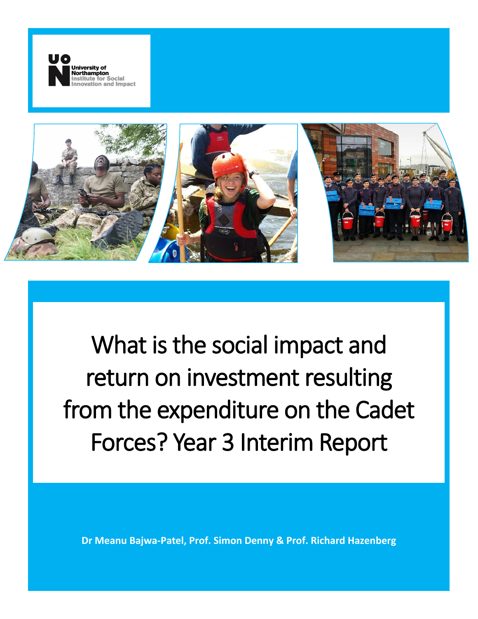



What is the social impact and return on investment resulting from the expenditure on the Cadet Forces? Year 3 Interim Report

**Dr Meanu Bajwa-Patel, Prof. Simon Denny & Prof. Richard Hazenberg**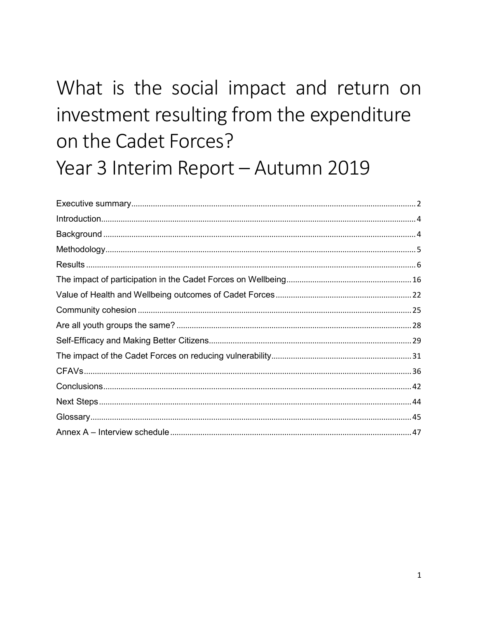# What is the social impact and return on investment resulting from the expenditure on the Cadet Forces? Year 3 Interim Report - Autumn 2019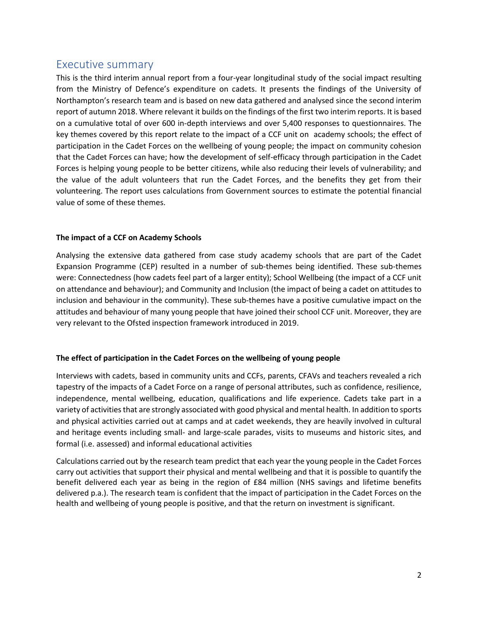# <span id="page-2-0"></span>Executive summary

This is the third interim annual report from a four-year longitudinal study of the social impact resulting from the Ministry of Defence's expenditure on cadets. It presents the findings of the University of Northampton's research team and is based on new data gathered and analysed since the second interim report of autumn 2018. Where relevant it builds on the findings of the first two interim reports. It is based on a cumulative total of over 600 in-depth interviews and over 5,400 responses to questionnaires. The key themes covered by this report relate to the impact of a CCF unit on academy schools; the effect of participation in the Cadet Forces on the wellbeing of young people; the impact on community cohesion that the Cadet Forces can have; how the development of self-efficacy through participation in the Cadet Forces is helping young people to be better citizens, while also reducing their levels of vulnerability; and the value of the adult volunteers that run the Cadet Forces, and the benefits they get from their volunteering. The report uses calculations from Government sources to estimate the potential financial value of some of these themes.

### **The impact of a CCF on Academy Schools**

Analysing the extensive data gathered from case study academy schools that are part of the Cadet Expansion Programme (CEP) resulted in a number of sub-themes being identified. These sub-themes were: Connectedness (how cadets feel part of a larger entity); School Wellbeing (the impact of a CCF unit on attendance and behaviour); and Community and Inclusion (the impact of being a cadet on attitudes to inclusion and behaviour in the community). These sub-themes have a positive cumulative impact on the attitudes and behaviour of many young people that have joined their school CCF unit. Moreover, they are very relevant to the Ofsted inspection framework introduced in 2019.

# **The effect of participation in the Cadet Forces on the wellbeing of young people**

Interviews with cadets, based in community units and CCFs, parents, CFAVs and teachers revealed a rich tapestry of the impacts of a Cadet Force on a range of personal attributes, such as confidence, resilience, independence, mental wellbeing, education, qualifications and life experience. Cadets take part in a variety of activities that are strongly associated with good physical and mental health. In addition to sports and physical activities carried out at camps and at cadet weekends, they are heavily involved in cultural and heritage events including small- and large-scale parades, visits to museums and historic sites, and formal (i.e. assessed) and informal educational activities

Calculations carried out by the research team predict that each year the young people in the Cadet Forces carry out activities that support their physical and mental wellbeing and that it is possible to quantify the benefit delivered each year as being in the region of £84 million (NHS savings and lifetime benefits delivered p.a.). The research team is confident that the impact of participation in the Cadet Forces on the health and wellbeing of young people is positive, and that the return on investment is significant.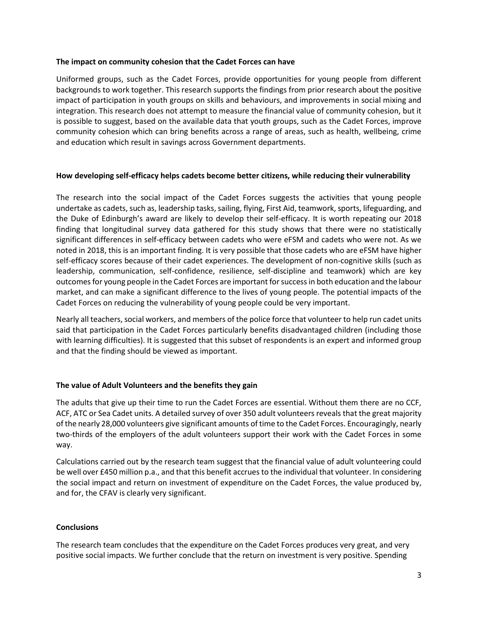#### **The impact on community cohesion that the Cadet Forces can have**

Uniformed groups, such as the Cadet Forces, provide opportunities for young people from different backgrounds to work together. This research supports the findings from prior research about the positive impact of participation in youth groups on skills and behaviours, and improvements in social mixing and integration. This research does not attempt to measure the financial value of community cohesion, but it is possible to suggest, based on the available data that youth groups, such as the Cadet Forces, improve community cohesion which can bring benefits across a range of areas, such as health, wellbeing, crime and education which result in savings across Government departments.

### **How developing self-efficacy helps cadets become better citizens, while reducing their vulnerability**

The research into the social impact of the Cadet Forces suggests the activities that young people undertake as cadets, such as, leadership tasks, sailing, flying, First Aid, teamwork, sports, lifeguarding, and the Duke of Edinburgh's award are likely to develop their self-efficacy. It is worth repeating our 2018 finding that longitudinal survey data gathered for this study shows that there were no statistically significant differences in self-efficacy between cadets who were eFSM and cadets who were not. As we noted in 2018, this is an important finding. It is very possible that those cadets who are eFSM have higher self-efficacy scores because of their cadet experiences. The development of non-cognitive skills (such as leadership, communication, self-confidence, resilience, self-discipline and teamwork) which are key outcomes for young people in the Cadet Forces are important for success in both education and the labour market, and can make a significant difference to the lives of young people. The potential impacts of the Cadet Forces on reducing the vulnerability of young people could be very important.

Nearly all teachers, social workers, and members of the police force that volunteer to help run cadet units said that participation in the Cadet Forces particularly benefits disadvantaged children (including those with learning difficulties). It is suggested that this subset of respondents is an expert and informed group and that the finding should be viewed as important.

### **The value of Adult Volunteers and the benefits they gain**

The adults that give up their time to run the Cadet Forces are essential. Without them there are no CCF, ACF, ATC or Sea Cadet units. A detailed survey of over 350 adult volunteers reveals that the great majority of the nearly 28,000 volunteers give significant amounts of time to the Cadet Forces. Encouragingly, nearly two-thirds of the employers of the adult volunteers support their work with the Cadet Forces in some way.

Calculations carried out by the research team suggest that the financial value of adult volunteering could be well over £450 million p.a., and that this benefit accrues to the individual that volunteer. In considering the social impact and return on investment of expenditure on the Cadet Forces, the value produced by, and for, the CFAV is clearly very significant.

### **Conclusions**

The research team concludes that the expenditure on the Cadet Forces produces very great, and very positive social impacts. We further conclude that the return on investment is very positive. Spending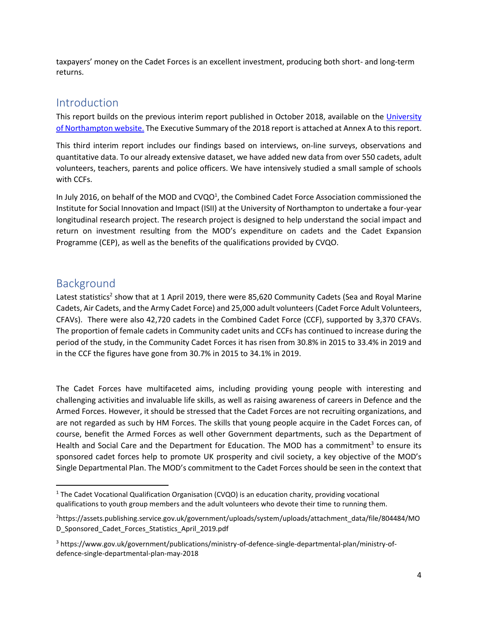taxpayers' money on the Cadet Forces is an excellent investment, producing both short- and long-term returns.

# <span id="page-4-0"></span>Introduction

This report builds on the previous interim report published in October 2018, available on the [University](https://www.northampton.ac.uk/research/research-institutes/institute-for-social-innovation-and-impact/social-impact-resulting-from-expenditure-on-cadets/)  [of Northampton website.](https://www.northampton.ac.uk/research/research-institutes/institute-for-social-innovation-and-impact/social-impact-resulting-from-expenditure-on-cadets/) The Executive Summary of the 2018 report is attached at Annex A to this report.

This third interim report includes our findings based on interviews, on-line surveys, observations and quantitative data. To our already extensive dataset, we have added new data from over 550 cadets, adult volunteers, teachers, parents and police officers. We have intensively studied a small sample of schools with CCFs.

In July 2016, on behalf of the MOD and CVQO<sup>1</sup>, the Combined Cadet Force Association commissioned the Institute for Social Innovation and Impact (ISII) at the University of Northampton to undertake a four-year longitudinal research project. The research project is designed to help understand the social impact and return on investment resulting from the MOD's expenditure on cadets and the Cadet Expansion Programme (CEP), as well as the benefits of the qualifications provided by CVQO.

# <span id="page-4-1"></span>Background

Latest statistics<sup>2</sup> show that at 1 April 2019, there were 85,620 Community Cadets (Sea and Royal Marine Cadets, Air Cadets, and the Army Cadet Force) and 25,000 adult volunteers (Cadet Force Adult Volunteers, CFAVs). There were also 42,720 cadets in the Combined Cadet Force (CCF), supported by 3,370 CFAVs. The proportion of female cadets in Community cadet units and CCFs has continued to increase during the period of the study, in the Community Cadet Forces it has risen from 30.8% in 2015 to 33.4% in 2019 and in the CCF the figures have gone from 30.7% in 2015 to 34.1% in 2019.

The Cadet Forces have multifaceted aims, including providing young people with interesting and challenging activities and invaluable life skills, as well as raising awareness of careers in Defence and the Armed Forces. However, it should be stressed that the Cadet Forces are not recruiting organizations, and are not regarded as such by HM Forces. The skills that young people acquire in the Cadet Forces can, of course, benefit the Armed Forces as well other Government departments, such as the Department of Health and Social Care and the Department for Education. The MOD has a commitment<sup>3</sup> to ensure its sponsored cadet forces help to promote UK prosperity and civil society, a key objective of the MOD's Single Departmental Plan. The MOD's commitment to the Cadet Forces should be seen in the context that

 $\overline{\phantom{a}}$ <sup>1</sup> The Cadet Vocational Qualification Organisation (CVQO) is an education charity, providing vocational qualifications to youth group members and the adult volunteers who devote their time to running them.

<sup>2</sup>[https://assets.publishing.service.gov.uk/government/uploads/system/uploads/attachment\\_data/file/804484/MO](https://assets.publishing.service.gov.uk/government/uploads/system/uploads/attachment_data/file/804484/MOD_Sponsored_Cadet_Forces_Statistics_April_2019.pdf) [D\\_Sponsored\\_Cadet\\_Forces\\_Statistics\\_April\\_2019.pdf](https://assets.publishing.service.gov.uk/government/uploads/system/uploads/attachment_data/file/804484/MOD_Sponsored_Cadet_Forces_Statistics_April_2019.pdf)

<sup>3</sup> [https://www.gov.uk/government/publications/ministry-of-defence-single-departmental-plan/ministry-of](https://www.gov.uk/government/publications/ministry-of-defence-single-departmental-plan/ministry-of-defence-single-departmental-plan-may-2018)[defence-single-departmental-plan-may-2018](https://www.gov.uk/government/publications/ministry-of-defence-single-departmental-plan/ministry-of-defence-single-departmental-plan-may-2018)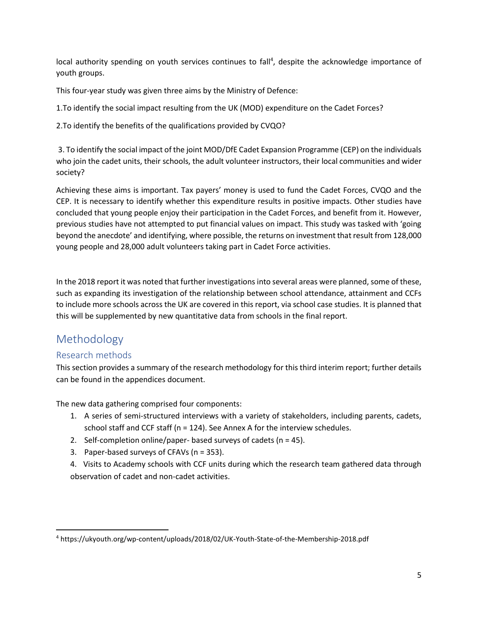local authority spending on youth services continues to fall<sup>4</sup>, despite the acknowledge importance of youth groups.

This four-year study was given three aims by the Ministry of Defence:

1.To identify the social impact resulting from the UK (MOD) expenditure on the Cadet Forces?

2.To identify the benefits of the qualifications provided by CVQO?

3. To identify the social impact of the joint MOD/DfE Cadet Expansion Programme (CEP) on the individuals who join the cadet units, their schools, the adult volunteer instructors, their local communities and wider society?

Achieving these aims is important. Tax payers' money is used to fund the Cadet Forces, CVQO and the CEP. It is necessary to identify whether this expenditure results in positive impacts. Other studies have concluded that young people enjoy their participation in the Cadet Forces, and benefit from it. However, previous studies have not attempted to put financial values on impact. This study was tasked with 'going beyond the anecdote' and identifying, where possible, the returns on investment that result from 128,000 young people and 28,000 adult volunteers taking part in Cadet Force activities.

In the 2018 report it was noted that further investigations into several areas were planned, some of these, such as expanding its investigation of the relationship between school attendance, attainment and CCFs to include more schools across the UK are covered in this report, via school case studies. It is planned that this will be supplemented by new quantitative data from schools in the final report.

# <span id="page-5-0"></span>Methodology

l

# Research methods

This section provides a summary of the research methodology for this third interim report; further details can be found in the appendices document.

The new data gathering comprised four components:

- 1. A series of semi-structured interviews with a variety of stakeholders, including parents, cadets, school staff and CCF staff (n = 124). See Annex A for the interview schedules.
- 2. Self-completion online/paper- based surveys of cadets ( $n = 45$ ).
- 3. Paper-based surveys of CFAVs (n = 353).
- 4. Visits to Academy schools with CCF units during which the research team gathered data through observation of cadet and non-cadet activities.

<sup>4</sup> <https://ukyouth.org/wp-content/uploads/2018/02/UK-Youth-State-of-the-Membership-2018.pdf>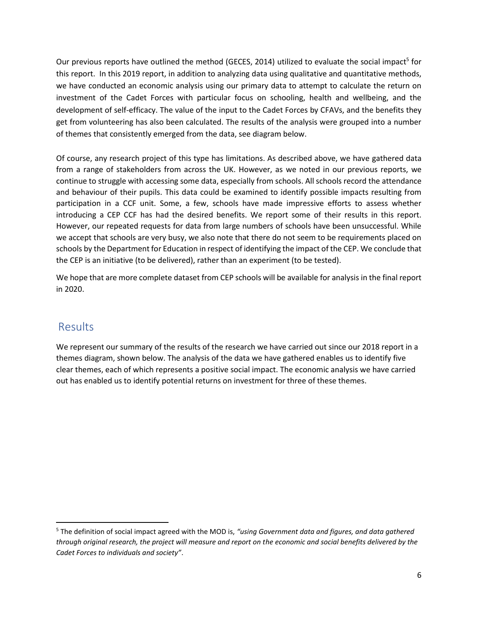Our previous reports have outlined the method (GECES, 2014) utilized to evaluate the social impact<sup>5</sup> for this report. In this 2019 report, in addition to analyzing data using qualitative and quantitative methods, we have conducted an economic analysis using our primary data to attempt to calculate the return on investment of the Cadet Forces with particular focus on schooling, health and wellbeing, and the development of self-efficacy. The value of the input to the Cadet Forces by CFAVs, and the benefits they get from volunteering has also been calculated. The results of the analysis were grouped into a number of themes that consistently emerged from the data, see diagram below.

Of course, any research project of this type has limitations. As described above, we have gathered data from a range of stakeholders from across the UK. However, as we noted in our previous reports, we continue to struggle with accessing some data, especially from schools. All schools record the attendance and behaviour of their pupils. This data could be examined to identify possible impacts resulting from participation in a CCF unit. Some, a few, schools have made impressive efforts to assess whether introducing a CEP CCF has had the desired benefits. We report some of their results in this report. However, our repeated requests for data from large numbers of schools have been unsuccessful. While we accept that schools are very busy, we also note that there do not seem to be requirements placed on schools by the Department for Education in respect of identifying the impact of the CEP. We conclude that the CEP is an initiative (to be delivered), rather than an experiment (to be tested).

We hope that are more complete dataset from CEP schools will be available for analysis in the final report in 2020.

# <span id="page-6-0"></span>Results

 $\overline{a}$ 

We represent our summary of the results of the research we have carried out since our 2018 report in a themes diagram, shown below. The analysis of the data we have gathered enables us to identify five clear themes, each of which represents a positive social impact. The economic analysis we have carried out has enabled us to identify potential returns on investment for three of these themes.

<sup>5</sup> The definition of social impact agreed with the MOD is, *"using Government data and figures, and data gathered through original research, the project will measure and report on the economic and social benefits delivered by the Cadet Forces to individuals and society"*.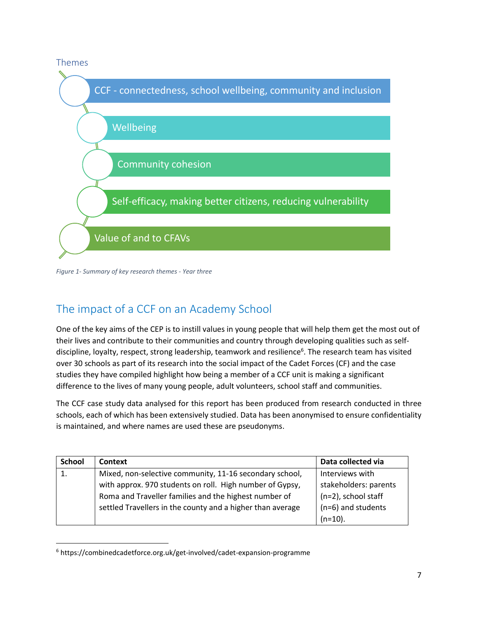

*Figure 1- Summary of key research themes - Year three*

# The impact of a CCF on an Academy School

One of the key aims of the CEP is to instill values in young people that will help them get the most out of their lives and contribute to their communities and country through developing qualities such as selfdiscipline, loyalty, respect, strong leadership, teamwork and resilience<sup>6</sup>. The research team has visited over 30 schools as part of its research into the social impact of the Cadet Forces (CF) and the case studies they have compiled highlight how being a member of a CCF unit is making a significant difference to the lives of many young people, adult volunteers, school staff and communities.

The CCF case study data analysed for this report has been produced from research conducted in three schools, each of which has been extensively studied. Data has been anonymised to ensure confidentiality is maintained, and where names are used these are pseudonyms.

| <b>School</b> | Context                                                    | Data collected via    |
|---------------|------------------------------------------------------------|-----------------------|
|               | Mixed, non-selective community, 11-16 secondary school,    | Interviews with       |
|               | with approx. 970 students on roll. High number of Gypsy,   | stakeholders: parents |
|               | Roma and Traveller families and the highest number of      | (n=2), school staff   |
|               | settled Travellers in the county and a higher than average | (n=6) and students    |
|               |                                                            | $(n=10)$ .            |

<sup>6</sup> <https://combinedcadetforce.org.uk/get-involved/cadet-expansion-programme>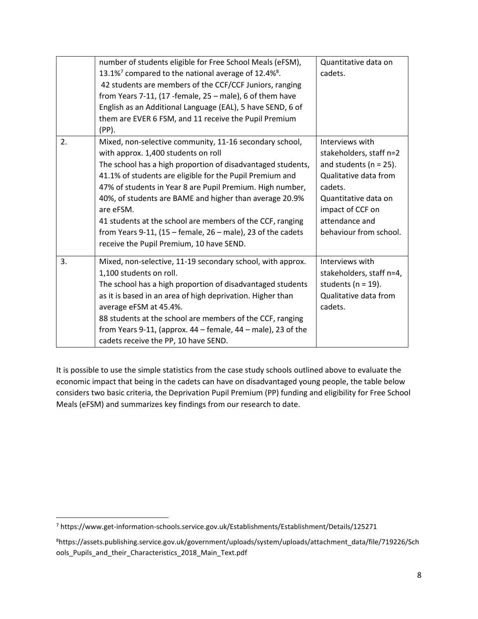|    | number of students eligible for Free School Meals (eFSM),<br>13.1% <sup>7</sup> compared to the national average of 12.4% <sup>8</sup> .<br>42 students are members of the CCF/CCF Juniors, ranging<br>from Years 7-11, (17 -female, $25$ – male), 6 of them have<br>English as an Additional Language (EAL), 5 have SEND, 6 of<br>them are EVER 6 FSM, and 11 receive the Pupil Premium<br>(PP).                                                                                                                                          | Quantitative data on<br>cadets.                                                                                                                                                                      |
|----|--------------------------------------------------------------------------------------------------------------------------------------------------------------------------------------------------------------------------------------------------------------------------------------------------------------------------------------------------------------------------------------------------------------------------------------------------------------------------------------------------------------------------------------------|------------------------------------------------------------------------------------------------------------------------------------------------------------------------------------------------------|
| 2. | Mixed, non-selective community, 11-16 secondary school,<br>with approx. 1,400 students on roll<br>The school has a high proportion of disadvantaged students,<br>41.1% of students are eligible for the Pupil Premium and<br>47% of students in Year 8 are Pupil Premium. High number,<br>40%, of students are BAME and higher than average 20.9%<br>are eFSM.<br>41 students at the school are members of the CCF, ranging<br>from Years 9-11, $(15 -$ female, $26 -$ male), 23 of the cadets<br>receive the Pupil Premium, 10 have SEND. | Interviews with<br>stakeholders, staff n=2<br>and students ( $n = 25$ ).<br>Qualitative data from<br>cadets.<br>Quantitative data on<br>impact of CCF on<br>attendance and<br>behaviour from school. |
| 3. | Mixed, non-selective, 11-19 secondary school, with approx.<br>1,100 students on roll.<br>The school has a high proportion of disadvantaged students<br>as it is based in an area of high deprivation. Higher than<br>average eFSM at 45.4%.<br>88 students at the school are members of the CCF, ranging<br>from Years 9-11, (approx. $44$ – female, $44$ – male), 23 of the<br>cadets receive the PP, 10 have SEND.                                                                                                                       | Interviews with<br>stakeholders, staff n=4,<br>students ( $n = 19$ ).<br>Qualitative data from<br>cadets.                                                                                            |

It is possible to use the simple statistics from the case study schools outlined above to evaluate the economic impact that being in the cadets can have on disadvantaged young people, the table below considers two basic criteria, the Deprivation Pupil Premium (PP) funding and eligibility for Free School Meals (eFSM) and summarizes key findings from our research to date.

 $\overline{a}$ <sup>7</sup> https://www.get-information-schools.service.gov.uk/Establishments/Establishment/Details/125271

<sup>8</sup>[https://assets.publishing.service.gov.uk/government/uploads/system/uploads/attachment\\_data/file/719226/Sch](https://assets.publishing.service.gov.uk/government/uploads/system/uploads/attachment_data/file/719226/Schools_Pupils_and_their_Characteristics_2018_Main_Text.pdf) [ools\\_Pupils\\_and\\_their\\_Characteristics\\_2018\\_Main\\_Text.pdf](https://assets.publishing.service.gov.uk/government/uploads/system/uploads/attachment_data/file/719226/Schools_Pupils_and_their_Characteristics_2018_Main_Text.pdf)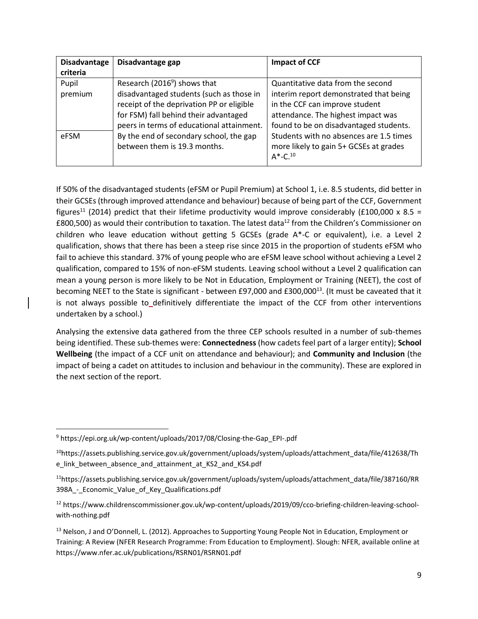| <b>Disadvantage</b> | Disadvantage gap                          | <b>Impact of CCF</b>                    |
|---------------------|-------------------------------------------|-----------------------------------------|
| criteria            |                                           |                                         |
| Pupil               | Research (2016 <sup>9</sup> ) shows that  | Quantitative data from the second       |
| premium             | disadvantaged students (such as those in  | interim report demonstrated that being  |
|                     | receipt of the deprivation PP or eligible | in the CCF can improve student          |
|                     | for FSM) fall behind their advantaged     | attendance. The highest impact was      |
|                     | peers in terms of educational attainment. | found to be on disadvantaged students.  |
| eFSM                | By the end of secondary school, the gap   | Students with no absences are 1.5 times |
|                     | between them is 19.3 months.              | more likely to gain 5+ GCSEs at grades  |
|                     |                                           | $A^*$ -C. <sup>10</sup>                 |

If 50% of the disadvantaged students (eFSM or Pupil Premium) at School 1, i.e. 8.5 students, did better in their GCSEs (through improved attendance and behaviour) because of being part of the CCF, Government figures<sup>11</sup> (2014) predict that their lifetime productivity would improve considerably (£100,000 x 8.5 = £800,500) as would their contribution to taxation. The latest data<sup>12</sup> from the Children's Commissioner on children who leave education without getting 5 GCSEs (grade A\*-C or equivalent), i.e. a Level 2 qualification, shows that there has been a steep rise since 2015 in the proportion of students eFSM who fail to achieve this standard. 37% of young people who are eFSM leave school without achieving a Level 2 qualification, compared to 15% of non-eFSM students. Leaving school without a Level 2 qualification can mean a young person is more likely to be Not in Education, Employment or Training (NEET), the cost of becoming NEET to the State is significant - between £97,000 and £300,000<sup>13</sup>. (It must be caveated that it is not always possible to definitively differentiate the impact of the CCF from other interventions undertaken by a school.)

Analysing the extensive data gathered from the three CEP schools resulted in a number of sub-themes being identified. These sub-themes were: **Connectedness** (how cadets feel part of a larger entity); **School Wellbeing** (the impact of a CCF unit on attendance and behaviour); and **Community and Inclusion** (the impact of being a cadet on attitudes to inclusion and behaviour in the community). These are explored in the next section of the report.

<sup>9</sup> [https://epi.org.uk/wp-content/uploads/2017/08/Closing-the-Gap\\_EPI-.pdf](https://epi.org.uk/wp-content/uploads/2017/08/Closing-the-Gap_EPI-.pdf)

<sup>10</sup>https://assets.publishing.service.gov.uk/government/uploads/system/uploads/attachment\_data/file/412638/Th e\_link\_between\_absence\_and\_attainment\_at\_KS2\_and\_KS4.pdf

<sup>11</sup>[https://assets.publishing.service.gov.uk/government/uploads/system/uploads/attachment\\_data/file/387160/RR](https://assets.publishing.service.gov.uk/government/uploads/system/uploads/attachment_data/file/387160/RR398A_-_Economic_Value_of_Key_Qualifications.pdf) 398A - Economic Value of Key Qualifications.pdf

<sup>12</sup> https://www.childrenscommissioner.gov.uk/wp-content/uploads/2019/09/cco-briefing-children-leaving-schoolwith-nothing.pdf

<sup>&</sup>lt;sup>13</sup> Nelson, J and O'Donnell, L. (2012). Approaches to Supporting Young People Not in Education, Employment or Training: A Review (NFER Research Programme: From Education to Employment). Slough: NFER, available online at https://www.nfer.ac.uk/publications/RSRN01/RSRN01.pdf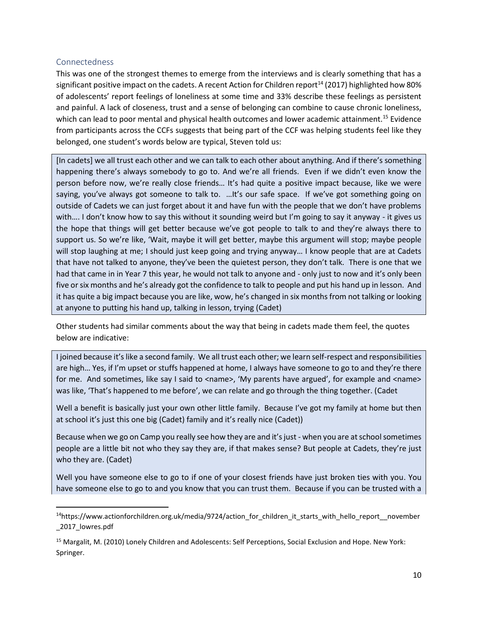# Connectedness

l

This was one of the strongest themes to emerge from the interviews and is clearly something that has a significant positive impact on the cadets. A recent Action for Children report<sup>14</sup> (2017) highlighted how 80% of adolescents' report feelings of loneliness at some time and 33% describe these feelings as persistent and painful. A lack of closeness, trust and a sense of belonging can combine to cause chronic loneliness, which can lead to poor mental and physical health outcomes and lower academic attainment.<sup>15</sup> Evidence from participants across the CCFs suggests that being part of the CCF was helping students feel like they belonged, one student's words below are typical, Steven told us:

[In cadets] we all trust each other and we can talk to each other about anything. And if there's something happening there's always somebody to go to. And we're all friends. Even if we didn't even know the person before now, we're really close friends… It's had quite a positive impact because, like we were saying, you've always got someone to talk to. ... It's our safe space. If we've got something going on outside of Cadets we can just forget about it and have fun with the people that we don't have problems with.... I don't know how to say this without it sounding weird but I'm going to say it anyway - it gives us the hope that things will get better because we've got people to talk to and they're always there to support us. So we're like, 'Wait, maybe it will get better, maybe this argument will stop; maybe people will stop laughing at me; I should just keep going and trying anyway… I know people that are at Cadets that have not talked to anyone, they've been the quietest person, they don't talk. There is one that we had that came in in Year 7 this year, he would not talk to anyone and - only just to now and it's only been five or six months and he's already got the confidence to talk to people and put his hand up in lesson. And it has quite a big impact because you are like, wow, he's changed in six months from not talking or looking at anyone to putting his hand up, talking in lesson, trying (Cadet)

Other students had similar comments about the way that being in cadets made them feel, the quotes below are indicative:

I joined because it's like a second family. We all trust each other; we learn self-respect and responsibilities are high… Yes, if I'm upset or stuffs happened at home, I always have someone to go to and they're there for me. And sometimes, like say I said to <name>, 'My parents have argued', for example and <name> was like, 'That's happened to me before', we can relate and go through the thing together. (Cadet

Well a benefit is basically just your own other little family. Because I've got my family at home but then at school it's just this one big (Cadet) family and it's really nice (Cadet))

Because when we go on Camp you really see how they are and it's just - when you are at school sometimes people are a little bit not who they say they are, if that makes sense? But people at Cadets, they're just who they are. (Cadet)

Well you have someone else to go to if one of your closest friends have just broken ties with you. You have someone else to go to and you know that you can trust them. Because if you can be trusted with a

<sup>&</sup>lt;sup>14</sup>https://www.actionforchildren.org.uk/media/9724/action for children it starts with hello report november [\\_2017\\_lowres.pdf](https://www.actionforchildren.org.uk/media/9724/action_for_children_it_starts_with_hello_report__november_2017_lowres.pdf)

<sup>15</sup> Margalit, M. (2010) Lonely Children and Adolescents: Self Perceptions, Social Exclusion and Hope. New York: Springer.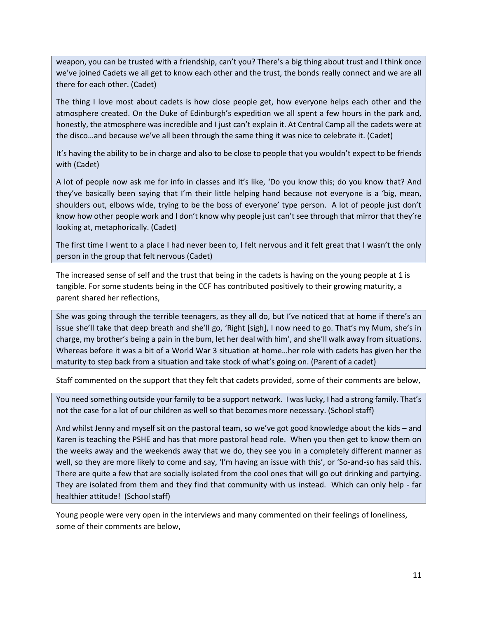weapon, you can be trusted with a friendship, can't you? There's a big thing about trust and I think once we've joined Cadets we all get to know each other and the trust, the bonds really connect and we are all there for each other. (Cadet)

The thing I love most about cadets is how close people get, how everyone helps each other and the atmosphere created. On the Duke of Edinburgh's expedition we all spent a few hours in the park and, honestly, the atmosphere was incredible and I just can't explain it. At Central Camp all the cadets were at the disco…and because we've all been through the same thing it was nice to celebrate it. (Cadet)

It's having the ability to be in charge and also to be close to people that you wouldn't expect to be friends with (Cadet)

A lot of people now ask me for info in classes and it's like, 'Do you know this; do you know that? And they've basically been saying that I'm their little helping hand because not everyone is a 'big, mean, shoulders out, elbows wide, trying to be the boss of everyone' type person. A lot of people just don't know how other people work and I don't know why people just can't see through that mirror that they're looking at, metaphorically. (Cadet)

The first time I went to a place I had never been to, I felt nervous and it felt great that I wasn't the only person in the group that felt nervous (Cadet)

The increased sense of self and the trust that being in the cadets is having on the young people at 1 is tangible. For some students being in the CCF has contributed positively to their growing maturity, a parent shared her reflections,

She was going through the terrible teenagers, as they all do, but I've noticed that at home if there's an issue she'll take that deep breath and she'll go, 'Right [sigh], I now need to go. That's my Mum, she's in charge, my brother's being a pain in the bum, let her deal with him', and she'll walk away from situations. Whereas before it was a bit of a World War 3 situation at home…her role with cadets has given her the maturity to step back from a situation and take stock of what's going on. (Parent of a cadet)

Staff commented on the support that they felt that cadets provided, some of their comments are below,

You need something outside your family to be a support network. I was lucky, I had a strong family. That's not the case for a lot of our children as well so that becomes more necessary. (School staff)

And whilst Jenny and myself sit on the pastoral team, so we've got good knowledge about the kids – and Karen is teaching the PSHE and has that more pastoral head role. When you then get to know them on the weeks away and the weekends away that we do, they see you in a completely different manner as well, so they are more likely to come and say, 'I'm having an issue with this', or 'So-and-so has said this. There are quite a few that are socially isolated from the cool ones that will go out drinking and partying. They are isolated from them and they find that community with us instead. Which can only help - far healthier attitude! (School staff)

Young people were very open in the interviews and many commented on their feelings of loneliness, some of their comments are below,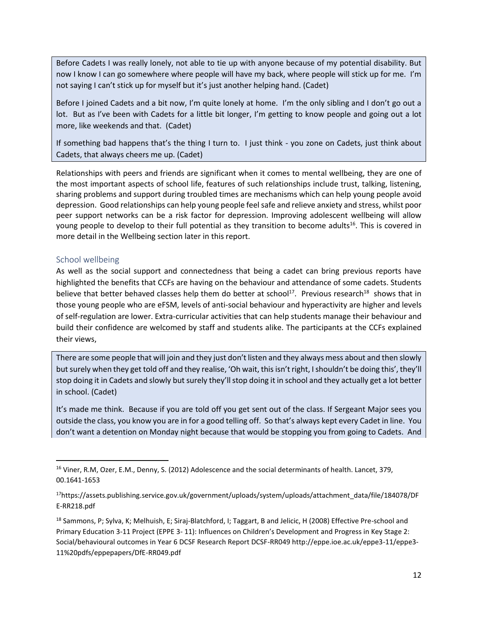Before Cadets I was really lonely, not able to tie up with anyone because of my potential disability. But now I know I can go somewhere where people will have my back, where people will stick up for me. I'm not saying I can't stick up for myself but it's just another helping hand. (Cadet)

Before I joined Cadets and a bit now, I'm quite lonely at home. I'm the only sibling and I don't go out a lot. But as I've been with Cadets for a little bit longer, I'm getting to know people and going out a lot more, like weekends and that. (Cadet)

If something bad happens that's the thing I turn to. I just think - you zone on Cadets, just think about Cadets, that always cheers me up. (Cadet)

Relationships with peers and friends are significant when it comes to mental wellbeing, they are one of the most important aspects of school life, features of such relationships include trust, talking, listening, sharing problems and support during troubled times are mechanisms which can help young people avoid depression. Good relationships can help young people feel safe and relieve anxiety and stress, whilst poor peer support networks can be a risk factor for depression. Improving adolescent wellbeing will allow young people to develop to their full potential as they transition to become adults<sup>16</sup>. This is covered in more detail in the Wellbeing section later in this report.

### School wellbeing

 $\overline{a}$ 

As well as the social support and connectedness that being a cadet can bring previous reports have highlighted the benefits that CCFs are having on the behaviour and attendance of some cadets. Students believe that better behaved classes help them do better at school<sup>17</sup>. Previous research<sup>18</sup> shows that in those young people who are eFSM, levels of anti-social behaviour and hyperactivity are higher and levels of self-regulation are lower. Extra-curricular activities that can help students manage their behaviour and build their confidence are welcomed by staff and students alike. The participants at the CCFs explained their views,

There are some people that will join and they just don't listen and they always mess about and then slowly but surely when they get told off and they realise, 'Oh wait, this isn't right, I shouldn't be doing this', they'll stop doing it in Cadets and slowly but surely they'll stop doing it in school and they actually get a lot better in school. (Cadet)

It's made me think. Because if you are told off you get sent out of the class. If Sergeant Major sees you outside the class, you know you are in for a good telling off. So that's always kept every Cadet in line. You don't want a detention on Monday night because that would be stopping you from going to Cadets. And

<sup>16</sup> Viner, R.M, Ozer, E.M., Denny, S. (2012) Adolescence and the social determinants of health. Lancet, 379, 00.1641-1653

<sup>17</sup>[https://assets.publishing.service.gov.uk/government/uploads/system/uploads/attachment\\_data/file/184078/DF](https://assets.publishing.service.gov.uk/government/uploads/system/uploads/attachment_data/file/184078/DFE-RR218.pdf) [E-RR218.pdf](https://assets.publishing.service.gov.uk/government/uploads/system/uploads/attachment_data/file/184078/DFE-RR218.pdf)

<sup>&</sup>lt;sup>18</sup> Sammons, P; Sylva, K; Melhuish, E; Siraj-Blatchford, I; Taggart, B and Jelicic, H (2008) Effective Pre-school and Primary Education 3-11 Project (EPPE 3- 11): Influences on Children's Development and Progress in Key Stage 2: Social/behavioural outcomes in Year 6 DCSF Research Report DCSF-RR049 http://eppe.ioe.ac.uk/eppe3-11/eppe3- 11%20pdfs/eppepapers/DfE-RR049.pdf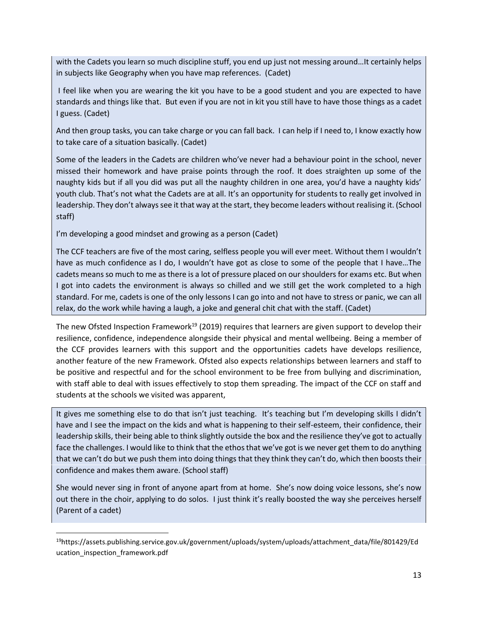with the Cadets you learn so much discipline stuff, you end up just not messing around…It certainly helps in subjects like Geography when you have map references. (Cadet)

I feel like when you are wearing the kit you have to be a good student and you are expected to have standards and things like that. But even if you are not in kit you still have to have those things as a cadet I guess. (Cadet)

And then group tasks, you can take charge or you can fall back. I can help if I need to, I know exactly how to take care of a situation basically. (Cadet)

Some of the leaders in the Cadets are children who've never had a behaviour point in the school, never missed their homework and have praise points through the roof. It does straighten up some of the naughty kids but if all you did was put all the naughty children in one area, you'd have a naughty kids' youth club. That's not what the Cadets are at all. It's an opportunity for students to really get involved in leadership. They don't always see it that way at the start, they become leaders without realising it. (School staff)

I'm developing a good mindset and growing as a person (Cadet)

 $\overline{\phantom{a}}$ 

The CCF teachers are five of the most caring, selfless people you will ever meet. Without them I wouldn't have as much confidence as I do, I wouldn't have got as close to some of the people that I have...The cadets means so much to me as there is a lot of pressure placed on our shoulders for exams etc. But when I got into cadets the environment is always so chilled and we still get the work completed to a high standard. For me, cadets is one of the only lessons I can go into and not have to stress or panic, we can all relax, do the work while having a laugh, a joke and general chit chat with the staff. (Cadet)

The new Ofsted Inspection Framework<sup>19</sup> (2019) requires that learners are given support to develop their resilience, confidence, independence alongside their physical and mental wellbeing. Being a member of the CCF provides learners with this support and the opportunities cadets have develops resilience, another feature of the new Framework. Ofsted also expects relationships between learners and staff to be positive and respectful and for the school environment to be free from bullying and discrimination, with staff able to deal with issues effectively to stop them spreading. The impact of the CCF on staff and students at the schools we visited was apparent,

It gives me something else to do that isn't just teaching. It's teaching but I'm developing skills I didn't have and I see the impact on the kids and what is happening to their self-esteem, their confidence, their leadership skills, their being able to think slightly outside the box and the resilience they've got to actually face the challenges. I would like to think that the ethos that we've got is we never get them to do anything that we can't do but we push them into doing things that they think they can't do, which then boosts their confidence and makes them aware. (School staff)

She would never sing in front of anyone apart from at home. She's now doing voice lessons, she's now out there in the choir, applying to do solos. I just think it's really boosted the way she perceives herself (Parent of a cadet)

<sup>19</sup>[https://assets.publishing.service.gov.uk/government/uploads/system/uploads/attachment\\_data/file/801429/Ed](https://assets.publishing.service.gov.uk/government/uploads/system/uploads/attachment_data/file/801429/Education_inspection_framework.pdf) [ucation\\_inspection\\_framework.pdf](https://assets.publishing.service.gov.uk/government/uploads/system/uploads/attachment_data/file/801429/Education_inspection_framework.pdf)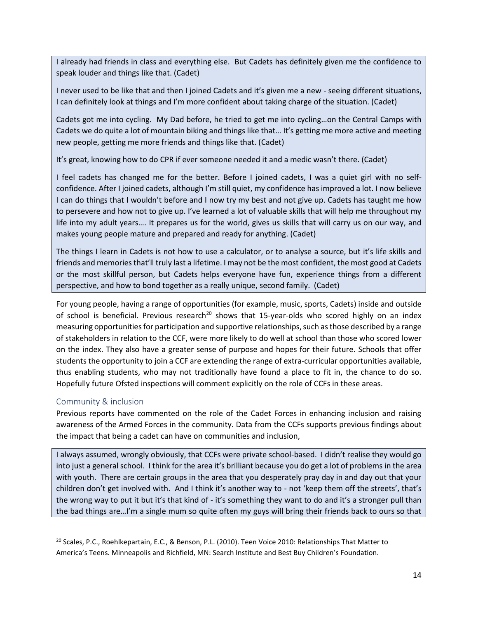I already had friends in class and everything else. But Cadets has definitely given me the confidence to speak louder and things like that. (Cadet)

I never used to be like that and then I joined Cadets and it's given me a new - seeing different situations, I can definitely look at things and I'm more confident about taking charge of the situation. (Cadet)

Cadets got me into cycling. My Dad before, he tried to get me into cycling…on the Central Camps with Cadets we do quite a lot of mountain biking and things like that… It's getting me more active and meeting new people, getting me more friends and things like that. (Cadet)

It's great, knowing how to do CPR if ever someone needed it and a medic wasn't there. (Cadet)

I feel cadets has changed me for the better. Before I joined cadets, I was a quiet girl with no selfconfidence. After I joined cadets, although I'm still quiet, my confidence has improved a lot. I now believe I can do things that I wouldn't before and I now try my best and not give up. Cadets has taught me how to persevere and how not to give up. I've learned a lot of valuable skills that will help me throughout my life into my adult years…. It prepares us for the world, gives us skills that will carry us on our way, and makes young people mature and prepared and ready for anything. (Cadet)

The things I learn in Cadets is not how to use a calculator, or to analyse a source, but it's life skills and friends and memories that'll truly last a lifetime. I may not be the most confident, the most good at Cadets or the most skillful person, but Cadets helps everyone have fun, experience things from a different perspective, and how to bond together as a really unique, second family. (Cadet)

For young people, having a range of opportunities (for example, music, sports, Cadets) inside and outside of school is beneficial. Previous research<sup>20</sup> shows that 15-year-olds who scored highly on an index measuring opportunities for participation and supportive relationships, such as those described by a range of stakeholders in relation to the CCF, were more likely to do well at school than those who scored lower on the index. They also have a greater sense of purpose and hopes for their future. Schools that offer students the opportunity to join a CCF are extending the range of extra-curricular opportunities available, thus enabling students, who may not traditionally have found a place to fit in, the chance to do so. Hopefully future Ofsted inspections will comment explicitly on the role of CCFs in these areas.

# Community & inclusion

 $\overline{\phantom{a}}$ 

Previous reports have commented on the role of the Cadet Forces in enhancing inclusion and raising awareness of the Armed Forces in the community. Data from the CCFs supports previous findings about the impact that being a cadet can have on communities and inclusion,

I always assumed, wrongly obviously, that CCFs were private school-based. I didn't realise they would go into just a general school. I think for the area it's brilliant because you do get a lot of problems in the area with youth. There are certain groups in the area that you desperately pray day in and day out that your children don't get involved with. And I think it's another way to - not 'keep them off the streets', that's the wrong way to put it but it's that kind of - it's something they want to do and it's a stronger pull than the bad things are…I'm a single mum so quite often my guys will bring their friends back to ours so that

<sup>&</sup>lt;sup>20</sup> Scales, P.C., Roehlkepartain, E.C., & Benson, P.L. (2010). Teen Voice 2010: Relationships That Matter to America's Teens. Minneapolis and Richfield, MN: Search Institute and Best Buy Children's Foundation.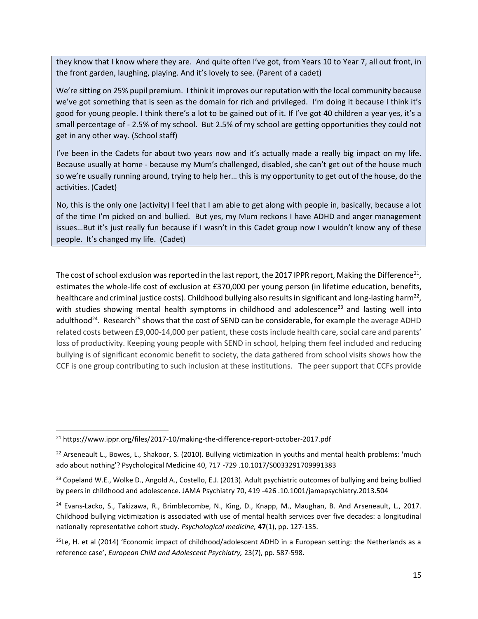they know that I know where they are. And quite often I've got, from Years 10 to Year 7, all out front, in the front garden, laughing, playing. And it's lovely to see. (Parent of a cadet)

We're sitting on 25% pupil premium. I think it improves our reputation with the local community because we've got something that is seen as the domain for rich and privileged. I'm doing it because I think it's good for young people. I think there's a lot to be gained out of it. If I've got 40 children a year yes, it's a small percentage of - 2.5% of my school. But 2.5% of my school are getting opportunities they could not get in any other way. (School staff)

I've been in the Cadets for about two years now and it's actually made a really big impact on my life. Because usually at home - because my Mum's challenged, disabled, she can't get out of the house much so we're usually running around, trying to help her… this is my opportunity to get out of the house, do the activities. (Cadet)

No, this is the only one (activity) I feel that I am able to get along with people in, basically, because a lot of the time I'm picked on and bullied. But yes, my Mum reckons I have ADHD and anger management issues…But it's just really fun because if I wasn't in this Cadet group now I wouldn't know any of these people. It's changed my life. (Cadet)

The cost of school exclusion was reported in the last report, the 2017 IPPR report, Making the Difference $^{21}$ , estimates the whole-life cost of exclusion at £370,000 per young person (in lifetime education, benefits, healthcare and criminal justice costs). Childhood bullying also results in significant and long-lasting harm<sup>22</sup>, with studies showing mental health symptoms in childhood and adolescence<sup>23</sup> and lasting well into adulthood<sup>24</sup>. Research<sup>25</sup> shows that the cost of SEND can be considerable, for example the average ADHD related costs between £9,000-14,000 per patient, these costs include health care, social care and parents' loss of productivity. Keeping young people with SEND in school, helping them feel included and reducing bullying is of significant economic benefit to society, the data gathered from school visits shows how the CCF is one group contributing to such inclusion at these institutions. The peer support that CCFs provide

<sup>&</sup>lt;sup>21</sup> <https://www.ippr.org/files/2017-10/making-the-difference-report-october-2017.pdf>

 $22$  Arseneault L., Bowes, L., Shakoor, S. (2010). Bullying victimization in youths and mental health problems: 'much ado about nothing'? Psychological Medicine 40, 717 -729 .10.1017/S0033291709991383

 $23$  Copeland W.E., Wolke D., Angold A., Costello, E.J. (2013). Adult psychiatric outcomes of bullying and being bullied by peers in childhood and adolescence. JAMA Psychiatry 70, 419 -426 .10.1001/jamapsychiatry.2013.504

<sup>&</sup>lt;sup>24</sup> Evans-Lacko, S., Takizawa, R., Brimblecombe, N., King, D., Knapp, M., Maughan, B. And Arseneault, L., 2017. Childhood bullying victimization is associated with use of mental health services over five decades: a longitudinal nationally representative cohort study. *Psychological medicine,* **47**(1), pp. 127-135.

 $^{25}$ Le, H. et al (2014) 'Economic impact of childhood/adolescent ADHD in a European setting: the Netherlands as a reference case', *European Child and Adolescent Psychiatry,* 23(7), pp. 587-598.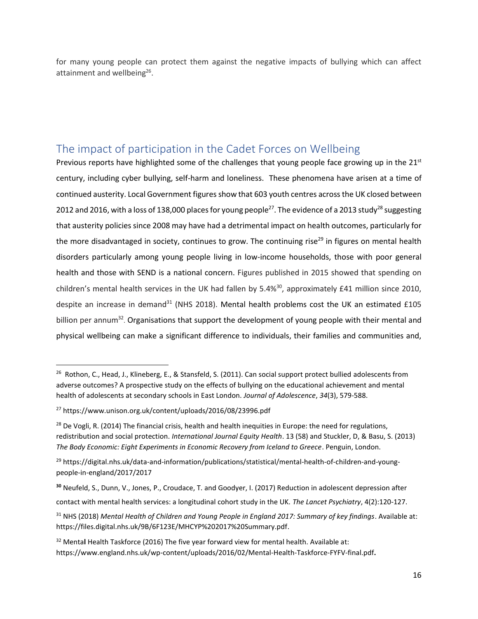for many young people can protect them against the negative impacts of bullying which can affect attainment and wellbeing<sup>26</sup>.

# <span id="page-16-0"></span>The impact of participation in the Cadet Forces on Wellbeing

Previous reports have highlighted some of the challenges that young people face growing up in the  $21<sup>st</sup>$ century, including cyber bullying, self-harm and loneliness. These phenomena have arisen at a time of continued austerity. Local Government figures show that 603 youth centres across the UK closed between 2012 and 2016, with a loss of 138,000 places for young people<sup>27</sup>. The evidence of a 2013 study<sup>28</sup> suggesting that austerity policies since 2008 may have had a detrimental impact on health outcomes, particularly for the more disadvantaged in society, continues to grow. The continuing rise $^{29}$  in figures on mental health disorders particularly among young people living in low-income households, those with poor general health and those with SEND is a national concern. Figures published in 2015 showed that spending on children's mental health services in the UK had fallen by 5.4%<sup>30</sup>, approximately £41 million since 2010, despite an increase in demand<sup>31</sup> (NHS 2018). Mental health problems cost the UK an estimated  $£105$ billion per annum<sup>32</sup>. Organisations that support the development of young people with their mental and physical wellbeing can make a significant difference to individuals, their families and communities and,

<sup>&</sup>lt;sup>26</sup> Rothon, C., Head, J., Klineberg, E., & Stansfeld, S. (2011). Can social support protect bullied adolescents from adverse outcomes? A prospective study on the effects of bullying on the educational achievement and mental health of adolescents at secondary schools in East London. *Journal of Adolescence*, *34*(3), 579-588.

<sup>27</sup> <https://www.unison.org.uk/content/uploads/2016/08/23996.pdf>

<sup>&</sup>lt;sup>28</sup> De Vogli, R. (2014) The financial crisis, health and health inequities in Europe: the need for regulations, redistribution and social protection. *International Journal Equity Health*. 13 (58) and Stuckler, D, & Basu, S. (2013) *The Body Economic: Eight Experiments in Economic Recovery from Iceland to Greece*. Penguin, London.

<sup>&</sup>lt;sup>29</sup> [https://digital.nhs.uk/data-and-information/publications/statistical/mental-health-of-children-and-young](https://digital.nhs.uk/data-and-information/publications/statistical/mental-health-of-children-and-young-people-in-england/2017/2017)[people-in-england/2017/2017](https://digital.nhs.uk/data-and-information/publications/statistical/mental-health-of-children-and-young-people-in-england/2017/2017)

**<sup>30</sup>** Neufeld, S., Dunn, V., Jones, P., Croudace, T. and Goodyer, I. (2017) Reduction in adolescent depression after

contact with mental health services: a longitudinal cohort study in the UK. *The Lancet Psychiatry*, 4(2):120-127.

<sup>&</sup>lt;sup>31</sup> NHS (2018) *Mental Health of Children and Young People in England 2017: Summary of key findings. Available at:* [https://files.digital.nhs.uk/9B/6F123E/MHCYP%202017%20Summary.pdf.](https://files.digital.nhs.uk/9B/6F123E/MHCYP%202017%20Summary.pdf)

<sup>32</sup> Menta**l** Health Taskforce (2016) The five year forward view for mental health. Available at: <https://www.england.nhs.uk/wp-content/uploads/2016/02/Mental-Health-Taskforce-FYFV-final.pdf>**.**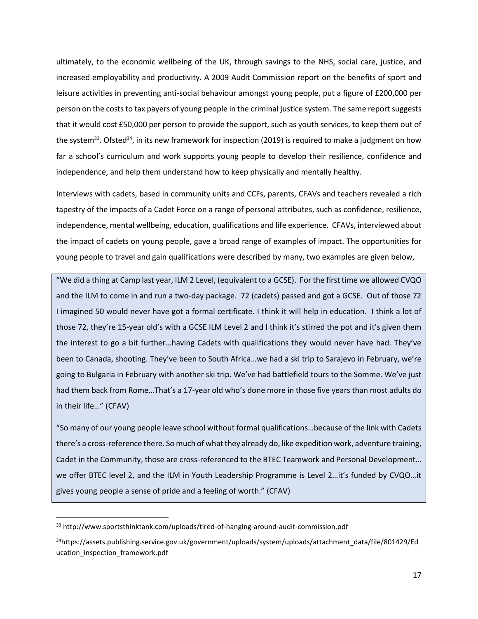ultimately, to the economic wellbeing of the UK, through savings to the NHS, social care, justice, and increased employability and productivity. A 2009 Audit Commission report on the benefits of sport and leisure activities in preventing anti-social behaviour amongst young people, put a figure of £200,000 per person on the costs to tax payers of young people in the criminal justice system. The same report suggests that it would cost £50,000 per person to provide the support, such as youth services, to keep them out of the system<sup>33</sup>. Ofsted<sup>34</sup>, in its new framework for inspection (2019) is required to make a judgment on how far a school's curriculum and work supports young people to develop their resilience, confidence and independence, and help them understand how to keep physically and mentally healthy.

Interviews with cadets, based in community units and CCFs, parents, CFAVs and teachers revealed a rich tapestry of the impacts of a Cadet Force on a range of personal attributes, such as confidence, resilience, independence, mental wellbeing, education, qualifications and life experience. CFAVs, interviewed about the impact of cadets on young people, gave a broad range of examples of impact. The opportunities for young people to travel and gain qualifications were described by many, two examples are given below,

"We did a thing at Camp last year, ILM 2 Level, (equivalent to a GCSE). For the first time we allowed CVQO and the ILM to come in and run a two-day package. 72 (cadets) passed and got a GCSE. Out of those 72 I imagined 50 would never have got a formal certificate. I think it will help in education. I think a lot of those 72, they're 15-year old's with a GCSE ILM Level 2 and I think it's stirred the pot and it's given them the interest to go a bit further…having Cadets with qualifications they would never have had. They've been to Canada, shooting. They've been to South Africa…we had a ski trip to Sarajevo in February, we're going to Bulgaria in February with another ski trip. We've had battlefield tours to the Somme. We've just had them back from Rome…That's a 17-year old who's done more in those five years than most adults do in their life…" (CFAV)

"So many of our young people leave school without formal qualifications…because of the link with Cadets there's a cross-reference there. So much of what they already do, like expedition work, adventure training, Cadet in the Community, those are cross-referenced to the BTEC Teamwork and Personal Development… we offer BTEC level 2, and the ILM in Youth Leadership Programme is Level 2…it's funded by CVQO…it gives young people a sense of pride and a feeling of worth." (CFAV)

 $\overline{a}$ 

<sup>33</sup> http://www.sportsthinktank.com/uploads/tired-of-hanging-around-audit-commission.pdf

<sup>34</sup>[https://assets.publishing.service.gov.uk/government/uploads/system/uploads/attachment\\_data/file/801429/Ed](https://assets.publishing.service.gov.uk/government/uploads/system/uploads/attachment_data/file/801429/Education_inspection_framework.pdf) [ucation\\_inspection\\_framework.pdf](https://assets.publishing.service.gov.uk/government/uploads/system/uploads/attachment_data/file/801429/Education_inspection_framework.pdf)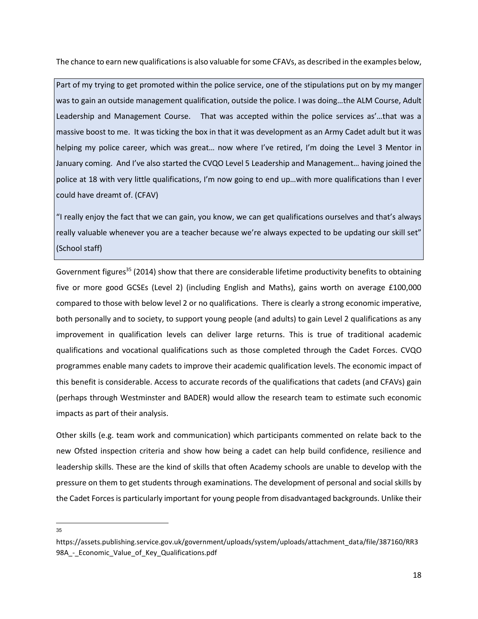The chance to earn new qualifications is also valuable for some CFAVs, as described in the examples below,

Part of my trying to get promoted within the police service, one of the stipulations put on by my manger was to gain an outside management qualification, outside the police. I was doing…the ALM Course, Adult Leadership and Management Course. That was accepted within the police services as'…that was a massive boost to me. It was ticking the box in that it was development as an Army Cadet adult but it was helping my police career, which was great... now where I've retired, I'm doing the Level 3 Mentor in January coming. And I've also started the CVQO Level 5 Leadership and Management… having joined the police at 18 with very little qualifications, I'm now going to end up…with more qualifications than I ever could have dreamt of. (CFAV)

"I really enjoy the fact that we can gain, you know, we can get qualifications ourselves and that's always really valuable whenever you are a teacher because we're always expected to be updating our skill set" (School staff)

Government figures<sup>35</sup> (2014) show that there are considerable lifetime productivity benefits to obtaining five or more good GCSEs (Level 2) (including English and Maths), gains worth on average £100,000 compared to those with below level 2 or no qualifications. There is clearly a strong economic imperative, both personally and to society, to support young people (and adults) to gain Level 2 qualifications as any improvement in qualification levels can deliver large returns. This is true of traditional academic qualifications and vocational qualifications such as those completed through the Cadet Forces. CVQO programmes enable many cadets to improve their academic qualification levels. The economic impact of this benefit is considerable. Access to accurate records of the qualifications that cadets (and CFAVs) gain (perhaps through Westminster and BADER) would allow the research team to estimate such economic impacts as part of their analysis.

Other skills (e.g. team work and communication) which participants commented on relate back to the new Ofsted inspection criteria and show how being a cadet can help build confidence, resilience and leadership skills. These are the kind of skills that often Academy schools are unable to develop with the pressure on them to get students through examinations. The development of personal and social skills by the Cadet Forces is particularly important for young people from disadvantaged backgrounds. Unlike their

l 35

[https://assets.publishing.service.gov.uk/government/uploads/system/uploads/attachment\\_data/file/387160/RR3](https://assets.publishing.service.gov.uk/government/uploads/system/uploads/attachment_data/file/387160/RR398A_-_Economic_Value_of_Key_Qualifications.pdf) [98A\\_-\\_Economic\\_Value\\_of\\_Key\\_Qualifications.pdf](https://assets.publishing.service.gov.uk/government/uploads/system/uploads/attachment_data/file/387160/RR398A_-_Economic_Value_of_Key_Qualifications.pdf)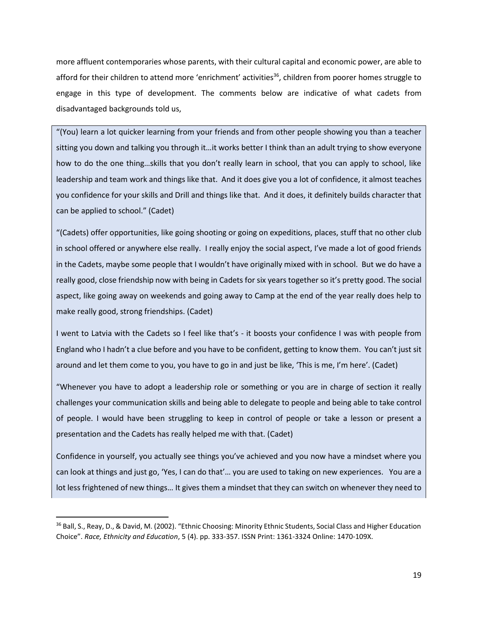more affluent contemporaries whose parents, with their cultural capital and economic power, are able to afford for their children to attend more 'enrichment' activities<sup>36</sup>, children from poorer homes struggle to engage in this type of development. The comments below are indicative of what cadets from disadvantaged backgrounds told us,

"(You) learn a lot quicker learning from your friends and from other people showing you than a teacher sitting you down and talking you through it…it works better I think than an adult trying to show everyone how to do the one thing…skills that you don't really learn in school, that you can apply to school, like leadership and team work and things like that. And it does give you a lot of confidence, it almost teaches you confidence for your skills and Drill and things like that. And it does, it definitely builds character that can be applied to school." (Cadet)

"(Cadets) offer opportunities, like going shooting or going on expeditions, places, stuff that no other club in school offered or anywhere else really. I really enjoy the social aspect, I've made a lot of good friends in the Cadets, maybe some people that I wouldn't have originally mixed with in school. But we do have a really good, close friendship now with being in Cadets for six years together so it's pretty good. The social aspect, like going away on weekends and going away to Camp at the end of the year really does help to make really good, strong friendships. (Cadet)

I went to Latvia with the Cadets so I feel like that's - it boosts your confidence I was with people from England who I hadn't a clue before and you have to be confident, getting to know them. You can't just sit around and let them come to you, you have to go in and just be like, 'This is me, I'm here'. (Cadet)

"Whenever you have to adopt a leadership role or something or you are in charge of section it really challenges your communication skills and being able to delegate to people and being able to take control of people. I would have been struggling to keep in control of people or take a lesson or present a presentation and the Cadets has really helped me with that. (Cadet)

Confidence in yourself, you actually see things you've achieved and you now have a mindset where you can look at things and just go, 'Yes, I can do that'… you are used to taking on new experiences. You are a lot less frightened of new things… It gives them a mindset that they can switch on whenever they need to

 $\overline{a}$ 

<sup>&</sup>lt;sup>36</sup> Ball, S., Reay, D., & David, M. (2002). "Ethnic Choosing: Minority Ethnic Students, Social Class and Higher Education Choice". *Race, Ethnicity and Education*, 5 (4). pp. 333-357. ISSN Print: 1361-3324 Online: 1470-109X.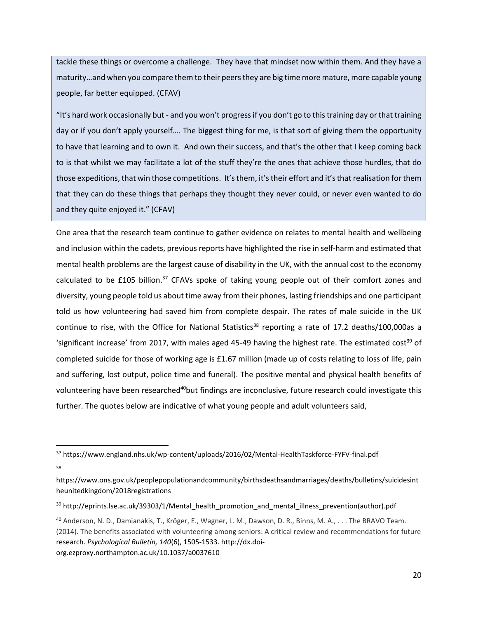tackle these things or overcome a challenge. They have that mindset now within them. And they have a maturity…and when you compare them to their peers they are big time more mature, more capable young people, far better equipped. (CFAV)

"It's hard work occasionally but - and you won't progress if you don't go to this training day or that training day or if you don't apply yourself…. The biggest thing for me, is that sort of giving them the opportunity to have that learning and to own it. And own their success, and that's the other that I keep coming back to is that whilst we may facilitate a lot of the stuff they're the ones that achieve those hurdles, that do those expeditions, that win those competitions. It's them, it's their effort and it's that realisation for them that they can do these things that perhaps they thought they never could, or never even wanted to do and they quite enjoyed it." (CFAV)

One area that the research team continue to gather evidence on relates to mental health and wellbeing and inclusion within the cadets, previous reports have highlighted the rise in self-harm and estimated that mental health problems are the largest cause of disability in the UK, with the annual cost to the economy calculated to be £105 billion.<sup>37</sup> CFAVs spoke of taking young people out of their comfort zones and diversity, young people told us about time away from their phones, lasting friendships and one participant told us how volunteering had saved him from complete despair. The rates of male suicide in the UK continue to rise, with the Office for National Statistics<sup>38</sup> reporting a rate of 17.2 deaths/100,000as a 'significant increase' from 2017, with males aged 45-49 having the highest rate. The estimated cost<sup>39</sup> of completed suicide for those of working age is £1.67 million (made up of costs relating to loss of life, pain and suffering, lost output, police time and funeral). The positive mental and physical health benefits of volunteering have been researched<sup>40</sup>but findings are inconclusive, future research could investigate this further. The quotes below are indicative of what young people and adult volunteers said,

38

l

<sup>&</sup>lt;sup>37</sup> <https://www.england.nhs.uk/wp-content/uploads/2016/02/Mental-HealthTaskforce-FYFV-final.pdf>

[https://www.ons.gov.uk/peoplepopulationandcommunity/birthsdeathsandmarriages/deaths/bulletins/suicidesint](https://www.ons.gov.uk/peoplepopulationandcommunity/birthsdeathsandmarriages/deaths/bulletins/suicidesintheunitedkingdom/2018registrations) [heunitedkingdom/2018registrations](https://www.ons.gov.uk/peoplepopulationandcommunity/birthsdeathsandmarriages/deaths/bulletins/suicidesintheunitedkingdom/2018registrations)

<sup>&</sup>lt;sup>39</sup> [http://eprints.lse.ac.uk/39303/1/Mental\\_health\\_promotion\\_and\\_mental\\_illness\\_prevention\(author\).pdf](http://eprints.lse.ac.uk/39303/1/Mental_health_promotion_and_mental_illness_prevention(author).pdf)

<sup>40</sup> Anderson, N. D., Damianakis, T., Kröger, E., Wagner, L. M., Dawson, D. R., Binns, M. A., . . . The BRAVO Team. (2014). The benefits associated with volunteering among seniors: A critical review and recommendations for future research. *Psychological Bulletin, 140*(6), 1505-1533[. http://dx.doi](http://dx.doi-org.ezproxy.northampton.ac.uk/10.1037/a0037610)[org.ezproxy.northampton.ac.uk/10.1037/a0037610](http://dx.doi-org.ezproxy.northampton.ac.uk/10.1037/a0037610)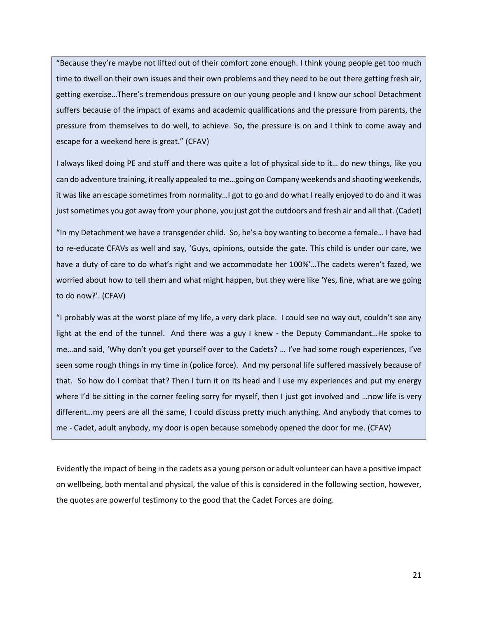"Because they're maybe not lifted out of their comfort zone enough. I think young people get too much time to dwell on their own issues and their own problems and they need to be out there getting fresh air, getting exercise…There's tremendous pressure on our young people and I know our school Detachment suffers because of the impact of exams and academic qualifications and the pressure from parents, the pressure from themselves to do well, to achieve. So, the pressure is on and I think to come away and escape for a weekend here is great." (CFAV)

I always liked doing PE and stuff and there was quite a lot of physical side to it… do new things, like you can do adventure training, it really appealed to me…going on Company weekends and shooting weekends, it was like an escape sometimes from normality…I got to go and do what I really enjoyed to do and it was just sometimes you got away from your phone, you just got the outdoors and fresh air and all that. (Cadet)

"In my Detachment we have a transgender child. So, he's a boy wanting to become a female… I have had to re-educate CFAVs as well and say, 'Guys, opinions, outside the gate. This child is under our care, we have a duty of care to do what's right and we accommodate her 100%'…The cadets weren't fazed, we worried about how to tell them and what might happen, but they were like 'Yes, fine, what are we going to do now?'. (CFAV)

"I probably was at the worst place of my life, a very dark place. I could see no way out, couldn't see any light at the end of the tunnel. And there was a guy I knew - the Deputy Commandant…He spoke to me…and said, 'Why don't you get yourself over to the Cadets? … I've had some rough experiences, I've seen some rough things in my time in (police force). And my personal life suffered massively because of that. So how do I combat that? Then I turn it on its head and I use my experiences and put my energy where I'd be sitting in the corner feeling sorry for myself, then I just got involved and ... now life is very different…my peers are all the same, I could discuss pretty much anything. And anybody that comes to me - Cadet, adult anybody, my door is open because somebody opened the door for me. (CFAV)

Evidently the impact of being in the cadets as a young person or adult volunteer can have a positive impact on wellbeing, both mental and physical, the value of this is considered in the following section, however, the quotes are powerful testimony to the good that the Cadet Forces are doing.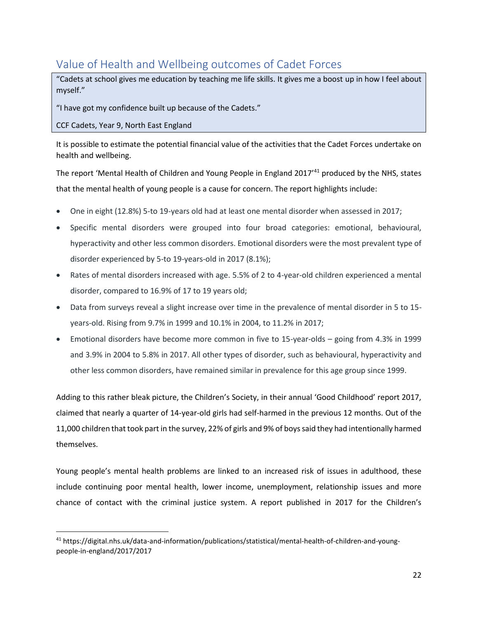# <span id="page-22-0"></span>Value of Health and Wellbeing outcomes of Cadet Forces

"Cadets at school gives me education by teaching me life skills. It gives me a boost up in how I feel about myself."

"I have got my confidence built up because of the Cadets."

CCF Cadets, Year 9, North East England

 $\overline{a}$ 

It is possible to estimate the potential financial value of the activities that the Cadet Forces undertake on health and wellbeing.

The report 'Mental Health of Children and Young People in England 2017<sup>'41</sup> produced by the NHS, states that the mental health of young people is a cause for concern. The report highlights include:

- One in eight (12.8%) 5-to 19-years old had at least one mental disorder when assessed in 2017;
- Specific mental disorders were grouped into four broad categories: emotional, behavioural, hyperactivity and other less common disorders. Emotional disorders were the most prevalent type of disorder experienced by 5-to 19-years-old in 2017 (8.1%);
- Rates of mental disorders increased with age. 5.5% of 2 to 4-year-old children experienced a mental disorder, compared to 16.9% of 17 to 19 years old;
- Data from surveys reveal a slight increase over time in the prevalence of mental disorder in 5 to 15 years-old. Rising from 9.7% in 1999 and 10.1% in 2004, to 11.2% in 2017;
- Emotional disorders have become more common in five to 15-year-olds going from 4.3% in 1999 and 3.9% in 2004 to 5.8% in 2017. All other types of disorder, such as behavioural, hyperactivity and other less common disorders, have remained similar in prevalence for this age group since 1999.

Adding to this rather bleak picture, the Children's Society, in their annual 'Good Childhood' report 2017, claimed that nearly a quarter of 14-year-old girls had self-harmed in the previous 12 months. Out of the 11,000 children that took part in the survey, 22% of girls and 9% of boys said they had intentionally harmed themselves.

Young people's mental health problems are linked to an increased risk of issues in adulthood, these include continuing poor mental health, lower income, unemployment, relationship issues and more chance of contact with the criminal justice system. A report published in 2017 for the Children's

<sup>41</sup> [https://digital.nhs.uk/data-and-information/publications/statistical/mental-health-of-children-and-young](https://digital.nhs.uk/data-and-information/publications/statistical/mental-health-of-children-and-young-people-in-england/2017/2017)[people-in-england/2017/2017](https://digital.nhs.uk/data-and-information/publications/statistical/mental-health-of-children-and-young-people-in-england/2017/2017)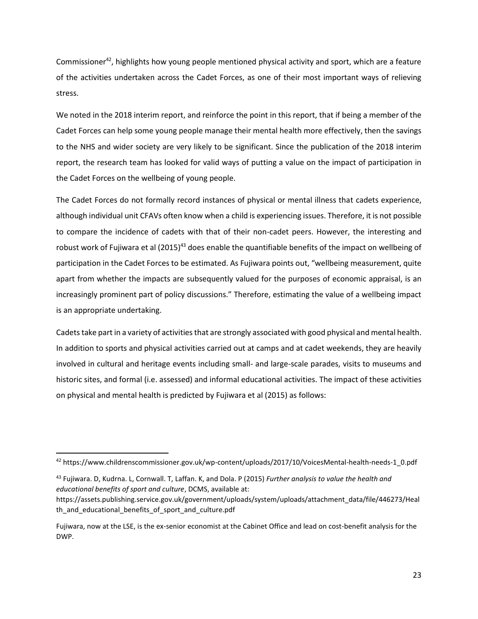Commissioner<sup>42</sup>, highlights how young people mentioned physical activity and sport, which are a feature of the activities undertaken across the Cadet Forces, as one of their most important ways of relieving stress.

We noted in the 2018 interim report, and reinforce the point in this report, that if being a member of the Cadet Forces can help some young people manage their mental health more effectively, then the savings to the NHS and wider society are very likely to be significant. Since the publication of the 2018 interim report, the research team has looked for valid ways of putting a value on the impact of participation in the Cadet Forces on the wellbeing of young people.

The Cadet Forces do not formally record instances of physical or mental illness that cadets experience, although individual unit CFAVs often know when a child is experiencing issues. Therefore, it is not possible to compare the incidence of cadets with that of their non-cadet peers. However, the interesting and robust work of Fujiwara et al  $(2015)^{43}$  does enable the quantifiable benefits of the impact on wellbeing of participation in the Cadet Forces to be estimated. As Fujiwara points out, "wellbeing measurement, quite apart from whether the impacts are subsequently valued for the purposes of economic appraisal, is an increasingly prominent part of policy discussions." Therefore, estimating the value of a wellbeing impact is an appropriate undertaking.

Cadets take part in a variety of activities that are strongly associated with good physical and mental health. In addition to sports and physical activities carried out at camps and at cadet weekends, they are heavily involved in cultural and heritage events including small- and large-scale parades, visits to museums and historic sites, and formal (i.e. assessed) and informal educational activities. The impact of these activities on physical and mental health is predicted by Fujiwara et al (2015) as follows:

<sup>43</sup> Fujiwara. D, Kudrna. L, Cornwall. T, Laffan. K, and Dola. P (2015) *Further analysis to value the health and educational benefits of sport and culture*, DCMS, available at:

<sup>42</sup> [https://www.childrenscommissioner.gov.uk/wp-content/uploads/2017/10/VoicesMental-health-needs-1\\_0.pdf](https://www.childrenscommissioner.gov.uk/wp-content/uploads/2017/10/VoicesMental-health-needs-1_0.pdf)

https://assets.publishing.service.gov.uk/government/uploads/system/uploads/attachment\_data/file/446273/Heal th\_and\_educational\_benefits\_of\_sport\_and\_culture.pdf

Fujiwara, now at the LSE, is the ex-senior economist at the Cabinet Office and lead on cost-benefit analysis for the DWP.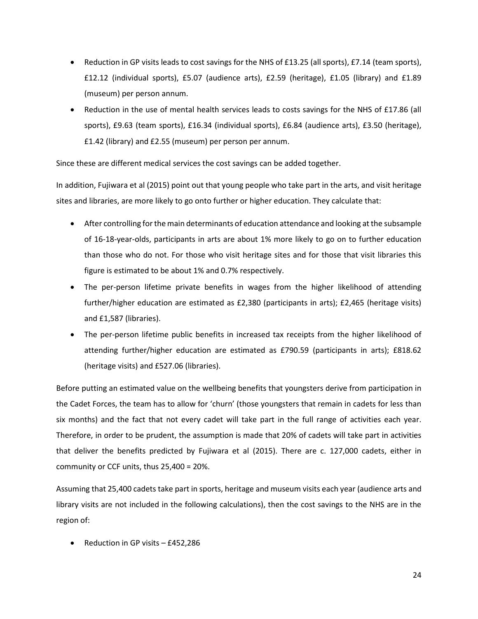- Reduction in GP visits leads to cost savings for the NHS of £13.25 (all sports), £7.14 (team sports), £12.12 (individual sports), £5.07 (audience arts), £2.59 (heritage), £1.05 (library) and £1.89 (museum) per person annum.
- Reduction in the use of mental health services leads to costs savings for the NHS of £17.86 (all sports), £9.63 (team sports), £16.34 (individual sports), £6.84 (audience arts), £3.50 (heritage), £1.42 (library) and £2.55 (museum) per person per annum.

Since these are different medical services the cost savings can be added together.

In addition, Fujiwara et al (2015) point out that young people who take part in the arts, and visit heritage sites and libraries, are more likely to go onto further or higher education. They calculate that:

- After controlling for the main determinants of education attendance and looking at the subsample of 16-18-year-olds, participants in arts are about 1% more likely to go on to further education than those who do not. For those who visit heritage sites and for those that visit libraries this figure is estimated to be about 1% and 0.7% respectively.
- The per-person lifetime private benefits in wages from the higher likelihood of attending further/higher education are estimated as £2,380 (participants in arts); £2,465 (heritage visits) and £1,587 (libraries).
- The per-person lifetime public benefits in increased tax receipts from the higher likelihood of attending further/higher education are estimated as £790.59 (participants in arts); £818.62 (heritage visits) and £527.06 (libraries).

Before putting an estimated value on the wellbeing benefits that youngsters derive from participation in the Cadet Forces, the team has to allow for 'churn' (those youngsters that remain in cadets for less than six months) and the fact that not every cadet will take part in the full range of activities each year. Therefore, in order to be prudent, the assumption is made that 20% of cadets will take part in activities that deliver the benefits predicted by Fujiwara et al (2015). There are c. 127,000 cadets, either in community or CCF units, thus 25,400 = 20%.

Assuming that 25,400 cadets take part in sports, heritage and museum visits each year (audience arts and library visits are not included in the following calculations), then the cost savings to the NHS are in the region of:

• Reduction in GP visits – £452,286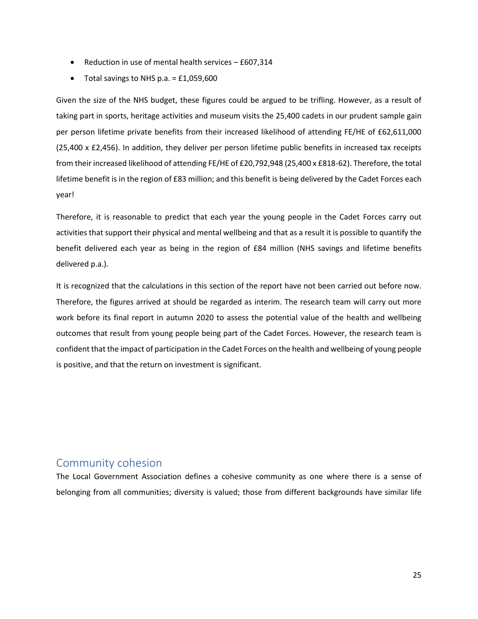- Reduction in use of mental health services £607,314
- Total savings to NHS p.a.  $=$  £1,059,600

Given the size of the NHS budget, these figures could be argued to be trifling. However, as a result of taking part in sports, heritage activities and museum visits the 25,400 cadets in our prudent sample gain per person lifetime private benefits from their increased likelihood of attending FE/HE of £62,611,000 (25,400 x £2,456). In addition, they deliver per person lifetime public benefits in increased tax receipts from their increased likelihood of attending FE/HE of £20,792,948 (25,400 x £818-62). Therefore, the total lifetime benefit is in the region of £83 million; and this benefit is being delivered by the Cadet Forces each year!

Therefore, it is reasonable to predict that each year the young people in the Cadet Forces carry out activities that support their physical and mental wellbeing and that as a result it is possible to quantify the benefit delivered each year as being in the region of £84 million (NHS savings and lifetime benefits delivered p.a.).

It is recognized that the calculations in this section of the report have not been carried out before now. Therefore, the figures arrived at should be regarded as interim. The research team will carry out more work before its final report in autumn 2020 to assess the potential value of the health and wellbeing outcomes that result from young people being part of the Cadet Forces. However, the research team is confident that the impact of participation in the Cadet Forces on the health and wellbeing of young people is positive, and that the return on investment is significant.

# <span id="page-25-0"></span>Community cohesion

The Local Government Association defines a cohesive community as one where there is a sense of belonging from all communities; diversity is valued; those from different backgrounds have similar life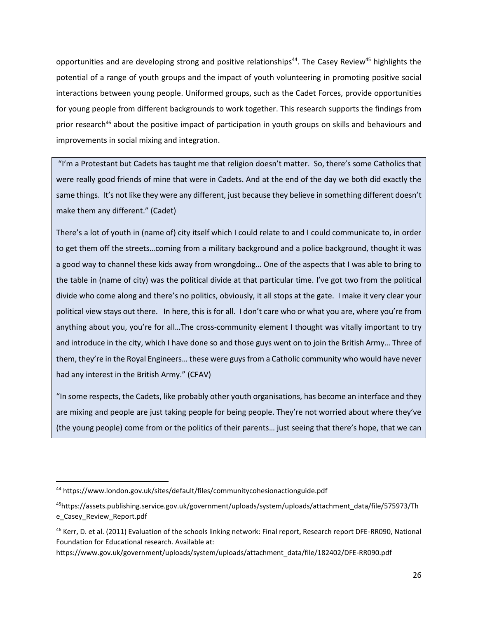opportunities and are developing strong and positive relationships<sup>44</sup>. The Casey Review<sup>45</sup> highlights the potential of a range of youth groups and the impact of youth volunteering in promoting positive social interactions between young people. Uniformed groups, such as the Cadet Forces, provide opportunities for young people from different backgrounds to work together. This research supports the findings from prior research<sup>46</sup> about the positive impact of participation in youth groups on skills and behaviours and improvements in social mixing and integration.

"I'm a Protestant but Cadets has taught me that religion doesn't matter. So, there's some Catholics that were really good friends of mine that were in Cadets. And at the end of the day we both did exactly the same things. It's not like they were any different, just because they believe in something different doesn't make them any different." (Cadet)

There's a lot of youth in (name of) city itself which I could relate to and I could communicate to, in order to get them off the streets…coming from a military background and a police background, thought it was a good way to channel these kids away from wrongdoing… One of the aspects that I was able to bring to the table in (name of city) was the political divide at that particular time. I've got two from the political divide who come along and there's no politics, obviously, it all stops at the gate. I make it very clear your political view stays out there. In here, this is for all. I don't care who or what you are, where you're from anything about you, you're for all... The cross-community element I thought was vitally important to try and introduce in the city, which I have done so and those guys went on to join the British Army… Three of them, they're in the Royal Engineers… these were guys from a Catholic community who would have never had any interest in the British Army." (CFAV)

"In some respects, the Cadets, like probably other youth organisations, has become an interface and they are mixing and people are just taking people for being people. They're not worried about where they've (the young people) come from or the politics of their parents… just seeing that there's hope, that we can

<sup>44</sup> <https://www.london.gov.uk/sites/default/files/communitycohesionactionguide.pdf>

<sup>45</sup>https://assets.publishing.service.gov.uk/government/uploads/system/uploads/attachment\_data/file/575973/Th e\_Casey\_Review\_Report.pdf

<sup>46</sup> Kerr, D. et al. (2011) Evaluation of the schools linking network: Final report, Research report DFE-RR090, National Foundation for Educational research. Available at:

https://www.gov.uk/government/uploads/system/uploads/attachment\_data/file/182402/DFE-RR090.pdf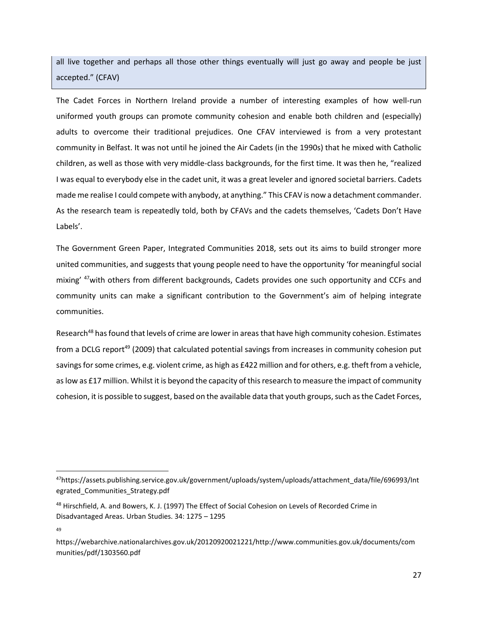all live together and perhaps all those other things eventually will just go away and people be just accepted." (CFAV)

The Cadet Forces in Northern Ireland provide a number of interesting examples of how well-run uniformed youth groups can promote community cohesion and enable both children and (especially) adults to overcome their traditional prejudices. One CFAV interviewed is from a very protestant community in Belfast. It was not until he joined the Air Cadets (in the 1990s) that he mixed with Catholic children, as well as those with very middle-class backgrounds, for the first time. It was then he, "realized I was equal to everybody else in the cadet unit, it was a great leveler and ignored societal barriers. Cadets made me realise I could compete with anybody, at anything." This CFAV is now a detachment commander. As the research team is repeatedly told, both by CFAVs and the cadets themselves, 'Cadets Don't Have Labels'.

The Government Green Paper, Integrated Communities 2018, sets out its aims to build stronger more united communities, and suggests that young people need to have the opportunity 'for meaningful social mixing' <sup>47</sup>with others from different backgrounds, Cadets provides one such opportunity and CCFs and community units can make a significant contribution to the Government's aim of helping integrate communities.

Research<sup>48</sup> has found that levels of crime are lower in areas that have high community cohesion. Estimates from a DCLG report<sup>49</sup> (2009) that calculated potential savings from increases in community cohesion put savings for some crimes, e.g. violent crime, as high as £422 million and for others, e.g. theft from a vehicle, as low as £17 million. Whilst it is beyond the capacity of this research to measure the impact of community cohesion, it is possible to suggest, based on the available data that youth groups, such as the Cadet Forces,

<sup>47</sup>[https://assets.publishing.service.gov.uk/government/uploads/system/uploads/attachment\\_data/file/696993/Int](https://assets.publishing.service.gov.uk/government/uploads/system/uploads/attachment_data/file/696993/Integrated_Communities_Strategy.pdf) [egrated\\_Communities\\_Strategy.pdf](https://assets.publishing.service.gov.uk/government/uploads/system/uploads/attachment_data/file/696993/Integrated_Communities_Strategy.pdf)

<sup>&</sup>lt;sup>48</sup> Hirschfield, A. and Bowers, K. J. (1997) The Effect of Social Cohesion on Levels of Recorded Crime in Disadvantaged Areas. Urban Studies. 34: 1275 – 1295

<sup>49</sup>

https://webarchive.nationalarchives.gov.uk/20120920021221/http://www.communities.gov.uk/documents/com munities/pdf/1303560.pdf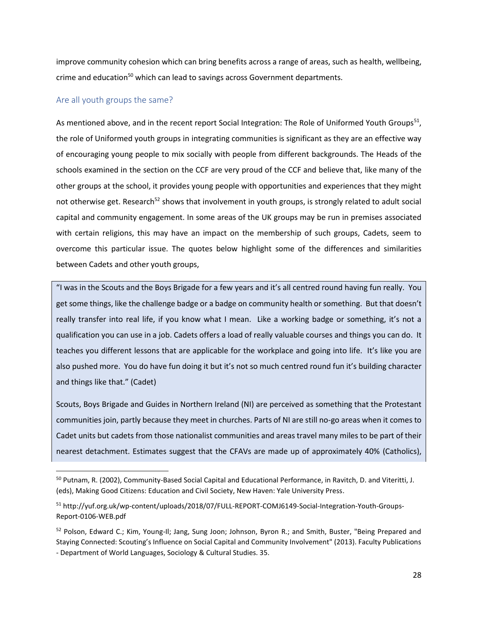improve community cohesion which can bring benefits across a range of areas, such as health, wellbeing, crime and education<sup>50</sup> which can lead to savings across Government departments.

### <span id="page-28-0"></span>Are all youth groups the same?

 $\overline{\phantom{a}}$ 

As mentioned above, and in the recent report Social Integration: The Role of Uniformed Youth Groups<sup>51</sup>, the role of Uniformed youth groups in integrating communities is significant as they are an effective way of encouraging young people to mix socially with people from different backgrounds. The Heads of the schools examined in the section on the CCF are very proud of the CCF and believe that, like many of the other groups at the school, it provides young people with opportunities and experiences that they might not otherwise get. Research<sup>52</sup> shows that involvement in youth groups, is strongly related to adult social capital and community engagement. In some areas of the UK groups may be run in premises associated with certain religions, this may have an impact on the membership of such groups, Cadets, seem to overcome this particular issue. The quotes below highlight some of the differences and similarities between Cadets and other youth groups,

"I was in the Scouts and the Boys Brigade for a few years and it's all centred round having fun really. You get some things, like the challenge badge or a badge on community health or something. But that doesn't really transfer into real life, if you know what I mean. Like a working badge or something, it's not a qualification you can use in a job. Cadets offers a load of really valuable courses and things you can do. It teaches you different lessons that are applicable for the workplace and going into life. It's like you are also pushed more. You do have fun doing it but it's not so much centred round fun it's building character and things like that." (Cadet)

Scouts, Boys Brigade and Guides in Northern Ireland (NI) are perceived as something that the Protestant communities join, partly because they meet in churches. Parts of NI are still no-go areas when it comes to Cadet units but cadets from those nationalist communities and areas travel many miles to be part of their nearest detachment. Estimates suggest that the CFAVs are made up of approximately 40% (Catholics),

<sup>&</sup>lt;sup>50</sup> Putnam, R. (2002), Community-Based Social Capital and Educational Performance, in Ravitch, D. and Viteritti, J. (eds), Making Good Citizens: Education and Civil Society, New Haven: Yale University Press.

<sup>51</sup> [http://yuf.org.uk/wp-content/uploads/2018/07/FULL-REPORT-COMJ6149-Social-Integration-Youth-Groups-](http://yuf.org.uk/wp-content/uploads/2018/07/FULL-REPORT-COMJ6149-Social-Integration-Youth-Groups-Report-0106-WEB.pdf)[Report-0106-WEB.pdf](http://yuf.org.uk/wp-content/uploads/2018/07/FULL-REPORT-COMJ6149-Social-Integration-Youth-Groups-Report-0106-WEB.pdf)

<sup>&</sup>lt;sup>52</sup> Polson, Edward C.; Kim, Young-Il; Jang, Sung Joon; Johnson, Byron R.; and Smith, Buster, "Being Prepared and Staying Connected: Scouting's Influence on Social Capital and Community Involvement" (2013). Faculty Publications - Department of World Languages, Sociology & Cultural Studies. 35.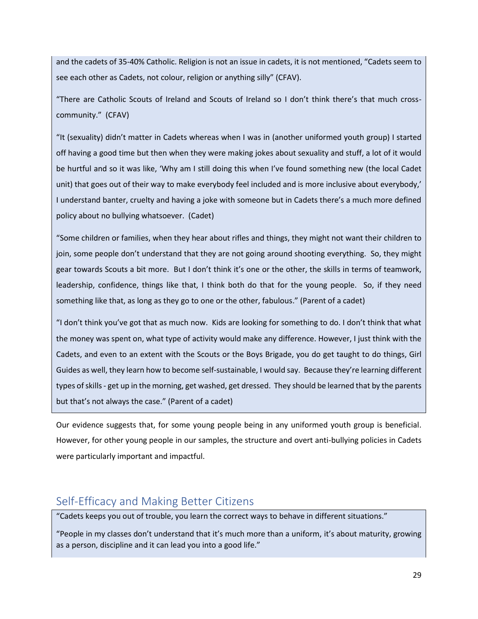and the cadets of 35-40% Catholic. Religion is not an issue in cadets, it is not mentioned, "Cadets seem to see each other as Cadets, not colour, religion or anything silly" (CFAV).

"There are Catholic Scouts of Ireland and Scouts of Ireland so I don't think there's that much crosscommunity." (CFAV)

"It (sexuality) didn't matter in Cadets whereas when I was in (another uniformed youth group) I started off having a good time but then when they were making jokes about sexuality and stuff, a lot of it would be hurtful and so it was like, 'Why am I still doing this when I've found something new (the local Cadet unit) that goes out of their way to make everybody feel included and is more inclusive about everybody,' I understand banter, cruelty and having a joke with someone but in Cadets there's a much more defined policy about no bullying whatsoever. (Cadet)

"Some children or families, when they hear about rifles and things, they might not want their children to join, some people don't understand that they are not going around shooting everything. So, they might gear towards Scouts a bit more. But I don't think it's one or the other, the skills in terms of teamwork, leadership, confidence, things like that, I think both do that for the young people. So, if they need something like that, as long as they go to one or the other, fabulous." (Parent of a cadet)

"I don't think you've got that as much now. Kids are looking for something to do. I don't think that what the money was spent on, what type of activity would make any difference. However, I just think with the Cadets, and even to an extent with the Scouts or the Boys Brigade, you do get taught to do things, Girl Guides as well, they learn how to become self-sustainable, I would say. Because they're learning different types of skills - get up in the morning, get washed, get dressed. They should be learned that by the parents but that's not always the case." (Parent of a cadet)

Our evidence suggests that, for some young people being in any uniformed youth group is beneficial. However, for other young people in our samples, the structure and overt anti-bullying policies in Cadets were particularly important and impactful.

# <span id="page-29-0"></span>Self-Efficacy and Making Better Citizens

"Cadets keeps you out of trouble, you learn the correct ways to behave in different situations."

"People in my classes don't understand that it's much more than a uniform, it's about maturity, growing as a person, discipline and it can lead you into a good life."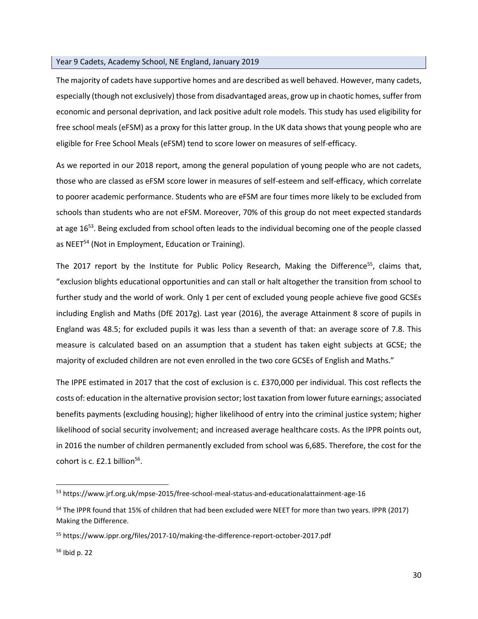#### Year 9 Cadets, Academy School, NE England, January 2019

The majority of cadets have supportive homes and are described as well behaved. However, many cadets, especially (though not exclusively) those from disadvantaged areas, grow up in chaotic homes, suffer from economic and personal deprivation, and lack positive adult role models. This study has used eligibility for free school meals (eFSM) as a proxy for this latter group. In the UK data shows that young people who are eligible for Free School Meals (eFSM) tend to score lower on measures of self-efficacy.

As we reported in our 2018 report, among the general population of young people who are not cadets, those who are classed as eFSM score lower in measures of self-esteem and self-efficacy, which correlate to poorer academic performance. Students who are eFSM are four times more likely to be excluded from schools than students who are not eFSM. Moreover, 70% of this group do not meet expected standards at age 16<sup>53</sup>. Being excluded from school often leads to the individual becoming one of the people classed as NEET<sup>54</sup> (Not in Employment, Education or Training).

The 2017 report by the Institute for Public Policy Research, Making the Difference<sup>55</sup>, claims that, "exclusion blights educational opportunities and can stall or halt altogether the transition from school to further study and the world of work. Only 1 per cent of excluded young people achieve five good GCSEs including English and Maths (DfE 2017g). Last year (2016), the average Attainment 8 score of pupils in England was 48.5; for excluded pupils it was less than a seventh of that: an average score of 7.8. This measure is calculated based on an assumption that a student has taken eight subjects at GCSE; the majority of excluded children are not even enrolled in the two core GCSEs of English and Maths."

The IPPE estimated in 2017 that the cost of exclusion is c. £370,000 per individual. This cost reflects the costs of: education in the alternative provision sector; lost taxation from lower future earnings; associated benefits payments (excluding housing); higher likelihood of entry into the criminal justice system; higher likelihood of social security involvement; and increased average healthcare costs. As the IPPR points out, in 2016 the number of children permanently excluded from school was 6,685. Therefore, the cost for the cohort is c.  $£2.1$  billion<sup>56</sup>.

 $\overline{a}$ 

<sup>53</sup> https://www.jrf.org.uk/mpse-2015/free-school-meal-status-and-educationalattainment-age-16

<sup>&</sup>lt;sup>54</sup> The IPPR found that 15% of children that had been excluded were NEET for more than two years. IPPR (2017) Making the Difference.

<sup>55</sup> <https://www.ippr.org/files/2017-10/making-the-difference-report-october-2017.pdf>

<sup>56</sup> Ibid p. 22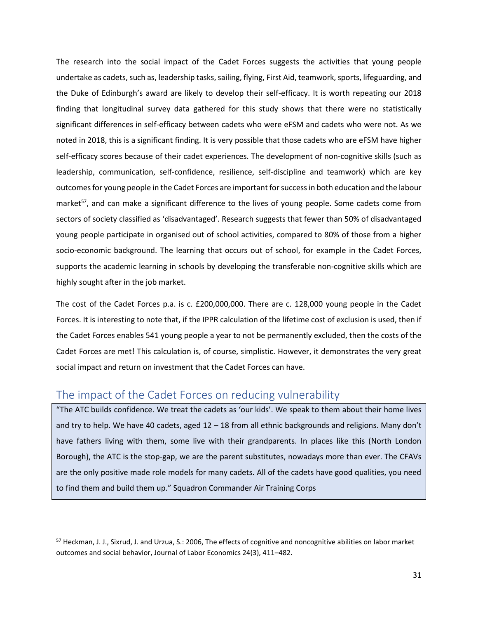The research into the social impact of the Cadet Forces suggests the activities that young people undertake as cadets, such as, leadership tasks, sailing, flying, First Aid, teamwork, sports, lifeguarding, and the Duke of Edinburgh's award are likely to develop their self-efficacy. It is worth repeating our 2018 finding that longitudinal survey data gathered for this study shows that there were no statistically significant differences in self-efficacy between cadets who were eFSM and cadets who were not. As we noted in 2018, this is a significant finding. It is very possible that those cadets who are eFSM have higher self-efficacy scores because of their cadet experiences. The development of non-cognitive skills (such as leadership, communication, self-confidence, resilience, self-discipline and teamwork) which are key outcomes for young people in the Cadet Forces are important for success in both education and the labour market<sup>57</sup>, and can make a significant difference to the lives of young people. Some cadets come from sectors of society classified as 'disadvantaged'. Research suggests that fewer than 50% of disadvantaged young people participate in organised out of school activities, compared to 80% of those from a higher socio-economic background. The learning that occurs out of school, for example in the Cadet Forces, supports the academic learning in schools by developing the transferable non-cognitive skills which are highly sought after in the job market.

The cost of the Cadet Forces p.a. is c. £200,000,000. There are c. 128,000 young people in the Cadet Forces. It is interesting to note that, if the IPPR calculation of the lifetime cost of exclusion is used, then if the Cadet Forces enables 541 young people a year to not be permanently excluded, then the costs of the Cadet Forces are met! This calculation is, of course, simplistic. However, it demonstrates the very great social impact and return on investment that the Cadet Forces can have.

# <span id="page-31-0"></span>The impact of the Cadet Forces on reducing vulnerability

 $\overline{\phantom{a}}$ 

"The ATC builds confidence. We treat the cadets as 'our kids'. We speak to them about their home lives and try to help. We have 40 cadets, aged 12 – 18 from all ethnic backgrounds and religions. Many don't have fathers living with them, some live with their grandparents. In places like this (North London Borough), the ATC is the stop-gap, we are the parent substitutes, nowadays more than ever. The CFAVs are the only positive made role models for many cadets. All of the cadets have good qualities, you need to find them and build them up." Squadron Commander Air Training Corps

<sup>&</sup>lt;sup>57</sup> Heckman, J. J., Sixrud, J. and Urzua, S.: 2006, The effects of cognitive and noncognitive abilities on labor market outcomes and social behavior, Journal of Labor Economics 24(3), 411–482.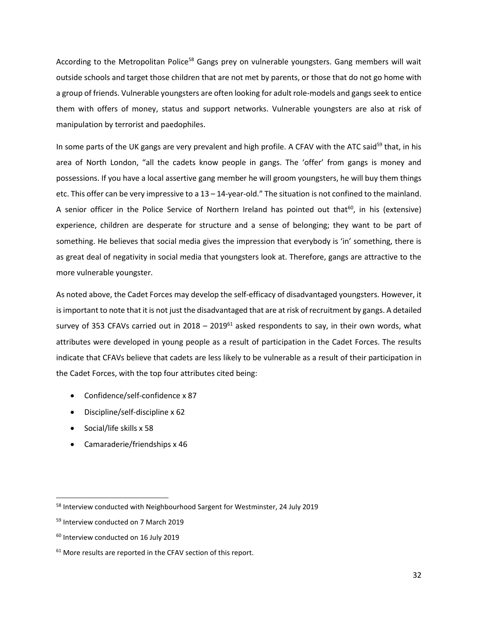According to the Metropolitan Police<sup>58</sup> Gangs prey on vulnerable youngsters. Gang members will wait outside schools and target those children that are not met by parents, or those that do not go home with a group of friends. Vulnerable youngsters are often looking for adult role-models and gangs seek to entice them with offers of money, status and support networks. Vulnerable youngsters are also at risk of manipulation by terrorist and paedophiles.

In some parts of the UK gangs are very prevalent and high profile. A CFAV with the ATC said<sup>59</sup> that, in his area of North London, "all the cadets know people in gangs. The 'offer' from gangs is money and possessions. If you have a local assertive gang member he will groom youngsters, he will buy them things etc. This offer can be very impressive to a 13 – 14-year-old." The situation is not confined to the mainland. A senior officer in the Police Service of Northern Ireland has pointed out that<sup>60</sup>, in his (extensive) experience, children are desperate for structure and a sense of belonging; they want to be part of something. He believes that social media gives the impression that everybody is 'in' something, there is as great deal of negativity in social media that youngsters look at. Therefore, gangs are attractive to the more vulnerable youngster.

As noted above, the Cadet Forces may develop the self-efficacy of disadvantaged youngsters. However, it is important to note that it is not just the disadvantaged that are at risk of recruitment by gangs. A detailed survey of 353 CFAVs carried out in 2018 – 2019 $<sup>61</sup>$  asked respondents to say, in their own words, what</sup> attributes were developed in young people as a result of participation in the Cadet Forces. The results indicate that CFAVs believe that cadets are less likely to be vulnerable as a result of their participation in the Cadet Forces, with the top four attributes cited being:

- Confidence/self-confidence x 87
- Discipline/self-discipline x 62
- Social/life skills x 58
- Camaraderie/friendships x 46

l

<sup>58</sup> Interview conducted with Neighbourhood Sargent for Westminster, 24 July 2019

<sup>59</sup> Interview conducted on 7 March 2019

<sup>&</sup>lt;sup>60</sup> Interview conducted on 16 July 2019

 $61$  More results are reported in the CFAV section of this report.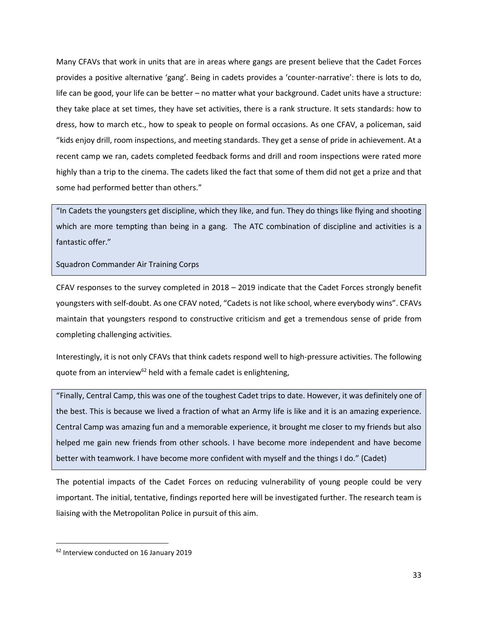Many CFAVs that work in units that are in areas where gangs are present believe that the Cadet Forces provides a positive alternative 'gang'. Being in cadets provides a 'counter-narrative': there is lots to do, life can be good, your life can be better – no matter what your background. Cadet units have a structure: they take place at set times, they have set activities, there is a rank structure. It sets standards: how to dress, how to march etc., how to speak to people on formal occasions. As one CFAV, a policeman, said "kids enjoy drill, room inspections, and meeting standards. They get a sense of pride in achievement. At a recent camp we ran, cadets completed feedback forms and drill and room inspections were rated more highly than a trip to the cinema. The cadets liked the fact that some of them did not get a prize and that some had performed better than others."

"In Cadets the youngsters get discipline, which they like, and fun. They do things like flying and shooting which are more tempting than being in a gang. The ATC combination of discipline and activities is a fantastic offer."

Squadron Commander Air Training Corps

CFAV responses to the survey completed in 2018 – 2019 indicate that the Cadet Forces strongly benefit youngsters with self-doubt. As one CFAV noted, "Cadets is not like school, where everybody wins". CFAVs maintain that youngsters respond to constructive criticism and get a tremendous sense of pride from completing challenging activities.

Interestingly, it is not only CFAVs that think cadets respond well to high-pressure activities. The following quote from an interview<sup>62</sup> held with a female cadet is enlightening,

"Finally, Central Camp, this was one of the toughest Cadet trips to date. However, it was definitely one of the best. This is because we lived a fraction of what an Army life is like and it is an amazing experience. Central Camp was amazing fun and a memorable experience, it brought me closer to my friends but also helped me gain new friends from other schools. I have become more independent and have become better with teamwork. I have become more confident with myself and the things I do." (Cadet)

The potential impacts of the Cadet Forces on reducing vulnerability of young people could be very important. The initial, tentative, findings reported here will be investigated further. The research team is liaising with the Metropolitan Police in pursuit of this aim.

<sup>62</sup> Interview conducted on 16 January 2019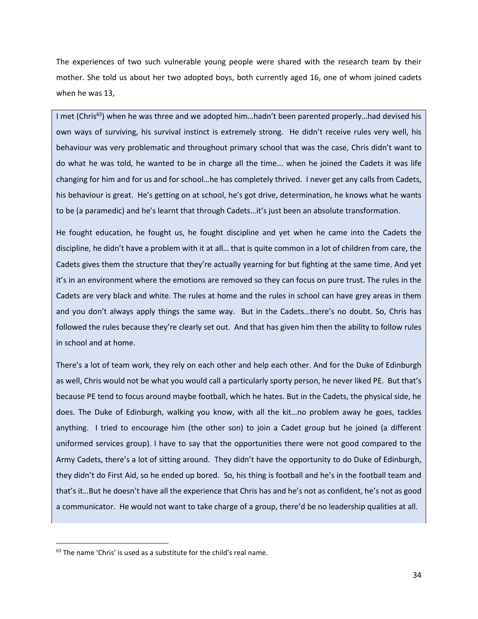The experiences of two such vulnerable young people were shared with the research team by their mother. She told us about her two adopted boys, both currently aged 16, one of whom joined cadets when he was 13,

I met (Chris<sup>63</sup>) when he was three and we adopted him...hadn't been parented properly...had devised his own ways of surviving, his survival instinct is extremely strong. He didn't receive rules very well, his behaviour was very problematic and throughout primary school that was the case, Chris didn't want to do what he was told, he wanted to be in charge all the time... when he joined the Cadets it was life changing for him and for us and for school…he has completely thrived. I never get any calls from Cadets, his behaviour is great. He's getting on at school, he's got drive, determination, he knows what he wants to be (a paramedic) and he's learnt that through Cadets…it's just been an absolute transformation.

He fought education, he fought us, he fought discipline and yet when he came into the Cadets the discipline, he didn't have a problem with it at all… that is quite common in a lot of children from care, the Cadets gives them the structure that they're actually yearning for but fighting at the same time. And yet it's in an environment where the emotions are removed so they can focus on pure trust. The rules in the Cadets are very black and white. The rules at home and the rules in school can have grey areas in them and you don't always apply things the same way. But in the Cadets…there's no doubt. So, Chris has followed the rules because they're clearly set out. And that has given him then the ability to follow rules in school and at home.

There's a lot of team work, they rely on each other and help each other. And for the Duke of Edinburgh as well, Chris would not be what you would call a particularly sporty person, he never liked PE. But that's because PE tend to focus around maybe football, which he hates. But in the Cadets, the physical side, he does. The Duke of Edinburgh, walking you know, with all the kit…no problem away he goes, tackles anything. I tried to encourage him (the other son) to join a Cadet group but he joined (a different uniformed services group). I have to say that the opportunities there were not good compared to the Army Cadets, there's a lot of sitting around. They didn't have the opportunity to do Duke of Edinburgh, they didn't do First Aid, so he ended up bored. So, his thing is football and he's in the football team and that's it…But he doesn't have all the experience that Chris has and he's not as confident, he's not as good a communicator. He would not want to take charge of a group, there'd be no leadership qualities at all.

 $63$  The name 'Chris' is used as a substitute for the child's real name.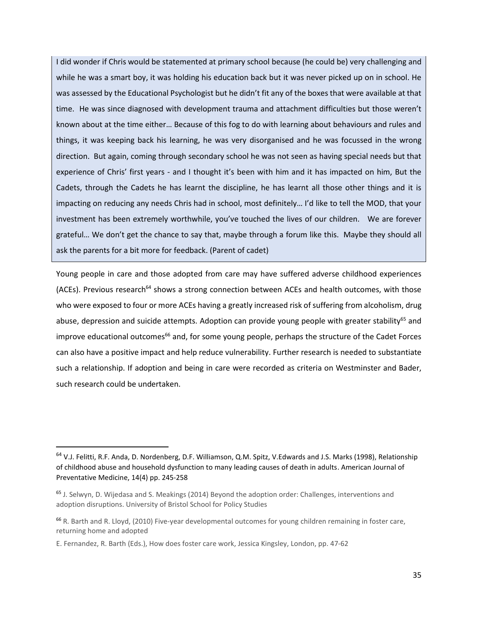I did wonder if Chris would be statemented at primary school because (he could be) very challenging and while he was a smart boy, it was holding his education back but it was never picked up on in school. He was assessed by the Educational Psychologist but he didn't fit any of the boxes that were available at that time. He was since diagnosed with development trauma and attachment difficulties but those weren't known about at the time either… Because of this fog to do with learning about behaviours and rules and things, it was keeping back his learning, he was very disorganised and he was focussed in the wrong direction. But again, coming through secondary school he was not seen as having special needs but that experience of Chris' first years - and I thought it's been with him and it has impacted on him, But the Cadets, through the Cadets he has learnt the discipline, he has learnt all those other things and it is impacting on reducing any needs Chris had in school, most definitely… I'd like to tell the MOD, that your investment has been extremely worthwhile, you've touched the lives of our children. We are forever grateful… We don't get the chance to say that, maybe through a forum like this. Maybe they should all ask the parents for a bit more for feedback. (Parent of cadet)

Young people in care and those adopted from care may have suffered adverse childhood experiences (ACEs). Previous research<sup>64</sup> shows a strong connection between ACEs and health outcomes, with those who were exposed to four or more ACEs having a greatly increased risk of suffering from alcoholism, drug abuse, depression and suicide attempts. Adoption can provide young people with greater stability<sup>65</sup> and improve educational outcomes<sup>66</sup> and, for some young people, perhaps the structure of the Cadet Forces can also have a positive impact and help reduce vulnerability. Further research is needed to substantiate such a relationship. If adoption and being in care were recorded as criteria on Westminster and Bader, such research could be undertaken.

<sup>&</sup>lt;sup>64</sup> V.J. Felitti, R.F. Anda, D. Nordenberg, D.F. Williamson, Q.M. Spitz, V.Edwards and J.S. Marks (1998), Relationship [of childhood abuse and household dysfunction to many leading causes of death in adults.](https://www.sciencedirect.com/science/article/pii/S0749379798000178) American Journal of Preventative Medicine, 14(4) pp. 245-258

<sup>&</sup>lt;sup>65</sup> J. Selwyn, D. Wijedasa and S. Meakings (2014) Beyond the adoption order: Challenges, interventions and adoption disruptions. University of Bristol School for Policy Studies

<sup>66</sup> R. Barth and R. Lloyd, (2010) Five-year developmental outcomes for young children remaining in foster care, returning home and adopted

E. Fernandez, R. Barth (Eds.), How does foster care work, Jessica Kingsley, London, pp. 47-62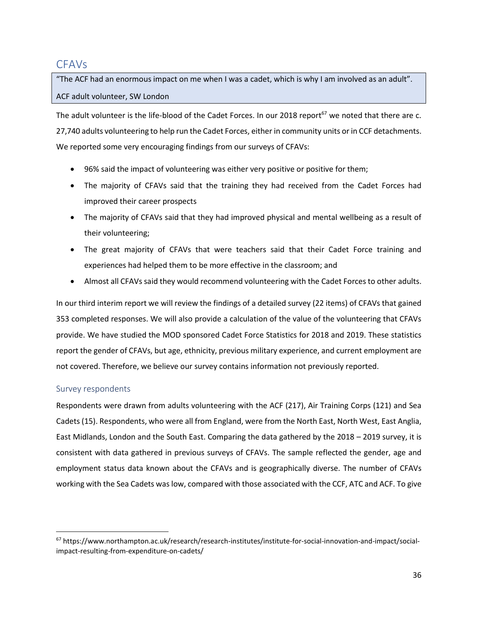# <span id="page-36-0"></span>CFAVs

"The ACF had an enormous impact on me when I was a cadet, which is why I am involved as an adult". ACF adult volunteer, SW London

The adult volunteer is the life-blood of the Cadet Forces. In our 2018 report<sup>67</sup> we noted that there are c. 27,740 adults volunteering to help run the Cadet Forces, either in community units or in CCF detachments. We reported some very encouraging findings from our surveys of CFAVs:

- 96% said the impact of volunteering was either very positive or positive for them;
- The majority of CFAVs said that the training they had received from the Cadet Forces had improved their career prospects
- The majority of CFAVs said that they had improved physical and mental wellbeing as a result of their volunteering;
- The great majority of CFAVs that were teachers said that their Cadet Force training and experiences had helped them to be more effective in the classroom; and
- Almost all CFAVs said they would recommend volunteering with the Cadet Forces to other adults.

In our third interim report we will review the findings of a detailed survey (22 items) of CFAVs that gained 353 completed responses. We will also provide a calculation of the value of the volunteering that CFAVs provide. We have studied the MOD sponsored Cadet Force Statistics for 2018 and 2019. These statistics report the gender of CFAVs, but age, ethnicity, previous military experience, and current employment are not covered. Therefore, we believe our survey contains information not previously reported.

# Survey respondents

 $\overline{a}$ 

Respondents were drawn from adults volunteering with the ACF (217), Air Training Corps (121) and Sea Cadets (15). Respondents, who were all from England, were from the North East, North West, East Anglia, East Midlands, London and the South East. Comparing the data gathered by the 2018 – 2019 survey, it is consistent with data gathered in previous surveys of CFAVs. The sample reflected the gender, age and employment status data known about the CFAVs and is geographically diverse. The number of CFAVs working with the Sea Cadets was low, compared with those associated with the CCF, ATC and ACF. To give

<sup>67</sup> [https://www.northampton.ac.uk/research/research-institutes/institute-for-social-innovation-and-impact/social](https://www.northampton.ac.uk/research/research-institutes/institute-for-social-innovation-and-impact/social-impact-resulting-from-expenditure-on-cadets/)[impact-resulting-from-expenditure-on-cadets/](https://www.northampton.ac.uk/research/research-institutes/institute-for-social-innovation-and-impact/social-impact-resulting-from-expenditure-on-cadets/)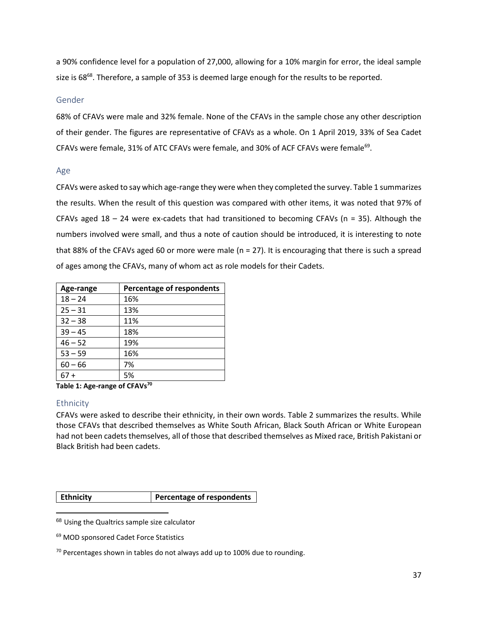a 90% confidence level for a population of 27,000, allowing for a 10% margin for error, the ideal sample size is 68<sup>68</sup>. Therefore, a sample of 353 is deemed large enough for the results to be reported.

#### Gender

68% of CFAVs were male and 32% female. None of the CFAVs in the sample chose any other description of their gender. The figures are representative of CFAVs as a whole. On 1 April 2019, 33% of Sea Cadet CFAVs were female, 31% of ATC CFAVs were female, and 30% of ACF CFAVs were female $^{69}$ .

#### Age

CFAVs were asked to say which age-range they were when they completed the survey. Table 1 summarizes the results. When the result of this question was compared with other items, it was noted that 97% of CFAVs aged  $18 - 24$  were ex-cadets that had transitioned to becoming CFAVs ( $n = 35$ ). Although the numbers involved were small, and thus a note of caution should be introduced, it is interesting to note that 88% of the CFAVs aged 60 or more were male (n = 27). It is encouraging that there is such a spread of ages among the CFAVs, many of whom act as role models for their Cadets.

| Age-range | Percentage of respondents |
|-----------|---------------------------|
| $18 - 24$ | 16%                       |
| $25 - 31$ | 13%                       |
| $32 - 38$ | 11%                       |
| $39 - 45$ | 18%                       |
| $46 - 52$ | 19%                       |
| $53 - 59$ | 16%                       |
| $60 - 66$ | 7%                        |
| 67 +      | 5%                        |

**Table 1: Age-range of CFAVs<sup>70</sup>**

### Ethnicity

 $\overline{a}$ 

CFAVs were asked to describe their ethnicity, in their own words. Table 2 summarizes the results. While those CFAVs that described themselves as White South African, Black South African or White European had not been cadets themselves, all of those that described themselves as Mixed race, British Pakistani or Black British had been cadets.

| <b>Ethnicity</b> | Percentage of respondents |
|------------------|---------------------------|
|------------------|---------------------------|

68 Using the Qualtrics sample size calculator

<sup>69</sup> MOD sponsored Cadet Force Statistics

 $70$  Percentages shown in tables do not always add up to 100% due to rounding.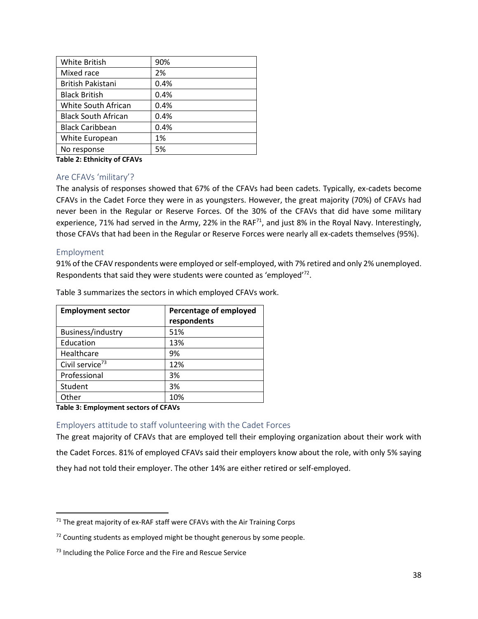| White British                 | 90%  |
|-------------------------------|------|
| Mixed race                    | 2%   |
| British Pakistani             | 0.4% |
| <b>Black British</b>          | 0.4% |
| White South African           | 0.4% |
| <b>Black South African</b>    | 0.4% |
| <b>Black Caribbean</b>        | 0.4% |
| White European                | 1%   |
| No response                   | 5%   |
| — II a — I · · · <i>Ca</i> —— |      |

**Table 2: Ethnicity of CFAVs**

### Are CFAVs 'military'?

The analysis of responses showed that 67% of the CFAVs had been cadets. Typically, ex-cadets become CFAVs in the Cadet Force they were in as youngsters. However, the great majority (70%) of CFAVs had never been in the Regular or Reserve Forces. Of the 30% of the CFAVs that did have some military experience, 71% had served in the Army, 22% in the RAF<sup>71</sup>, and just 8% in the Royal Navy. Interestingly, those CFAVs that had been in the Regular or Reserve Forces were nearly all ex-cadets themselves (95%).

### Employment

 $\overline{a}$ 

91% of the CFAV respondents were employed or self-employed, with 7% retired and only 2% unemployed. Respondents that said they were students were counted as 'employed' $72$ .

| <b>Employment sector</b>    | Percentage of employed |
|-----------------------------|------------------------|
|                             | respondents            |
| Business/industry           | 51%                    |
| Education                   | 13%                    |
| Healthcare                  | 9%                     |
| Civil service <sup>73</sup> | 12%                    |
| Professional                | 3%                     |
| Student                     | 3%                     |
| Other                       | 10%                    |

Table 3 summarizes the sectors in which employed CFAVs work.

**Table 3: Employment sectors of CFAVs**

Employers attitude to staff volunteering with the Cadet Forces

The great majority of CFAVs that are employed tell their employing organization about their work with the Cadet Forces. 81% of employed CFAVs said their employers know about the role, with only 5% saying they had not told their employer. The other 14% are either retired or self-employed.

 $71$  The great majority of ex-RAF staff were CFAVs with the Air Training Corps

 $72$  Counting students as employed might be thought generous by some people.

<sup>&</sup>lt;sup>73</sup> Including the Police Force and the Fire and Rescue Service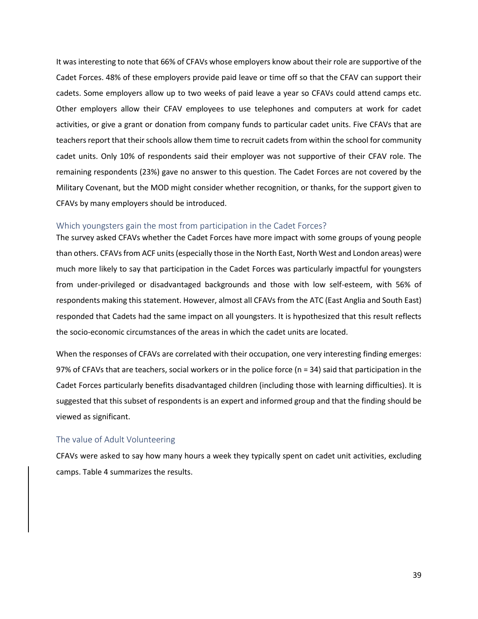It was interesting to note that 66% of CFAVs whose employers know about their role are supportive of the Cadet Forces. 48% of these employers provide paid leave or time off so that the CFAV can support their cadets. Some employers allow up to two weeks of paid leave a year so CFAVs could attend camps etc. Other employers allow their CFAV employees to use telephones and computers at work for cadet activities, or give a grant or donation from company funds to particular cadet units. Five CFAVs that are teachers report that their schools allow them time to recruit cadets from within the school for community cadet units. Only 10% of respondents said their employer was not supportive of their CFAV role. The remaining respondents (23%) gave no answer to this question. The Cadet Forces are not covered by the Military Covenant, but the MOD might consider whether recognition, or thanks, for the support given to CFAVs by many employers should be introduced.

#### Which youngsters gain the most from participation in the Cadet Forces?

The survey asked CFAVs whether the Cadet Forces have more impact with some groups of young people than others. CFAVs from ACF units (especially those in the North East, North West and London areas) were much more likely to say that participation in the Cadet Forces was particularly impactful for youngsters from under-privileged or disadvantaged backgrounds and those with low self-esteem, with 56% of respondents making this statement. However, almost all CFAVs from the ATC (East Anglia and South East) responded that Cadets had the same impact on all youngsters. It is hypothesized that this result reflects the socio-economic circumstances of the areas in which the cadet units are located.

When the responses of CFAVs are correlated with their occupation, one very interesting finding emerges: 97% of CFAVs that are teachers, social workers or in the police force (n = 34) said that participation in the Cadet Forces particularly benefits disadvantaged children (including those with learning difficulties). It is suggested that this subset of respondents is an expert and informed group and that the finding should be viewed as significant.

#### The value of Adult Volunteering

CFAVs were asked to say how many hours a week they typically spent on cadet unit activities, excluding camps. Table 4 summarizes the results.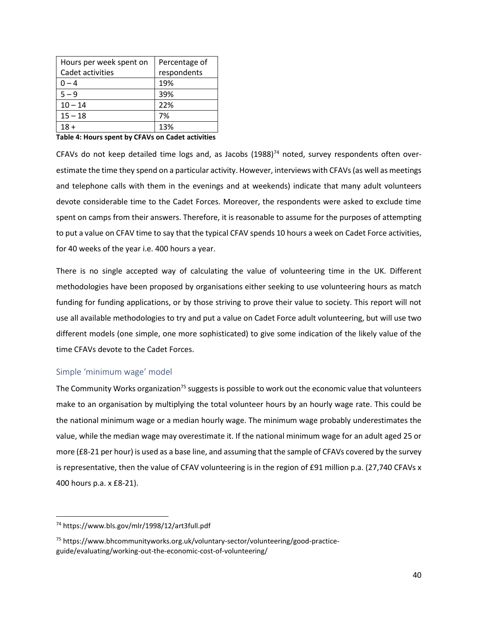| Hours per week spent on | Percentage of |
|-------------------------|---------------|
| Cadet activities        | respondents   |
| $0 - 4$                 | 19%           |
| $5 - 9$                 | 39%           |
| $10 - 14$               | 22%           |
| $15 - 18$               | 7%            |
|                         | 13%           |

**Table 4: Hours spent by CFAVs on Cadet activities**

CFAVs do not keep detailed time logs and, as Jacobs  $(1988)^{74}$  noted, survey respondents often overestimate the time they spend on a particular activity. However, interviews with CFAVs (as well as meetings and telephone calls with them in the evenings and at weekends) indicate that many adult volunteers devote considerable time to the Cadet Forces. Moreover, the respondents were asked to exclude time spent on camps from their answers. Therefore, it is reasonable to assume for the purposes of attempting to put a value on CFAV time to say that the typical CFAV spends 10 hours a week on Cadet Force activities, for 40 weeks of the year i.e. 400 hours a year.

There is no single accepted way of calculating the value of volunteering time in the UK. Different methodologies have been proposed by organisations either seeking to use volunteering hours as match funding for funding applications, or by those striving to prove their value to society. This report will not use all available methodologies to try and put a value on Cadet Force adult volunteering, but will use two different models (one simple, one more sophisticated) to give some indication of the likely value of the time CFAVs devote to the Cadet Forces.

### Simple 'minimum wage' model

The Community Works organization<sup>75</sup> suggests is possible to work out the economic value that volunteers make to an organisation by multiplying the total volunteer hours by an hourly wage rate. This could be the national [minimum](http://www.hmrc.gov.uk/nmw) wage or a median hourly wage. The minimum wage probably underestimates the value, while the median wage may overestimate it. If the national minimum wage for an adult aged 25 or more (£8-21 per hour) is used as a base line, and assuming that the sample of CFAVs covered by the survey is representative, then the value of CFAV volunteering is in the region of £91 million p.a. (27,740 CFAVs x 400 hours p.a. x £8-21).

l

<sup>74</sup> <https://www.bls.gov/mlr/1998/12/art3full.pdf>

<sup>75</sup> [https://www.bhcommunityworks.org.uk/voluntary-sector/volunteering/good-practice](https://www.bhcommunityworks.org.uk/voluntary-sector/volunteering/good-practice-guide/evaluating/working-out-the-economic-cost-of-volunteering/)[guide/evaluating/working-out-the-economic-cost-of-volunteering/](https://www.bhcommunityworks.org.uk/voluntary-sector/volunteering/good-practice-guide/evaluating/working-out-the-economic-cost-of-volunteering/)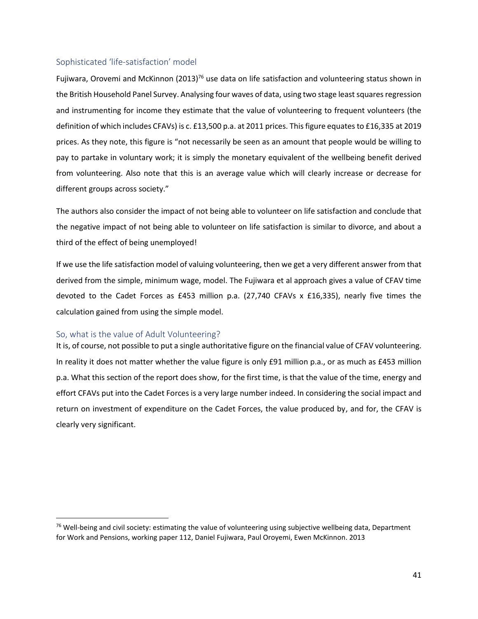### Sophisticated 'life-satisfaction' model

Fujiwara, Orovemi and McKinnon (2013)<sup>76</sup> use data on life satisfaction and volunteering status shown in the British Household Panel Survey. Analysing four waves of data, using two stage least squares regression and instrumenting for income they estimate that the value of volunteering to frequent volunteers (the definition of which includes CFAVs) is c. £13,500 p.a. at 2011 prices. This figure equates to £16,335 at 2019 prices. As they note, this figure is "not necessarily be seen as an amount that people would be willing to pay to partake in voluntary work; it is simply the monetary equivalent of the wellbeing benefit derived from volunteering. Also note that this is an average value which will clearly increase or decrease for different groups across society."

The authors also consider the impact of not being able to volunteer on life satisfaction and conclude that the negative impact of not being able to volunteer on life satisfaction is similar to divorce, and about a third of the effect of being unemployed!

If we use the life satisfaction model of valuing volunteering, then we get a very different answer from that derived from the simple, minimum wage, model. The Fujiwara et al approach gives a value of CFAV time devoted to the Cadet Forces as £453 million p.a. (27,740 CFAVs x £16,335), nearly five times the calculation gained from using the simple model.

### So, what is the value of Adult Volunteering?

 $\overline{\phantom{a}}$ 

It is, of course, not possible to put a single authoritative figure on the financial value of CFAV volunteering. In reality it does not matter whether the value figure is only £91 million p.a., or as much as £453 million p.a. What this section of the report does show, for the first time, is that the value of the time, energy and effort CFAVs put into the Cadet Forces is a very large number indeed. In considering the social impact and return on investment of expenditure on the Cadet Forces, the value produced by, and for, the CFAV is clearly very significant.

<sup>&</sup>lt;sup>76</sup> Well-being and civil society: estimating the value of volunteering using subjective wellbeing data, Department for Work and Pensions, working paper 112, Daniel Fujiwara, Paul Oroyemi, Ewen McKinnon. 2013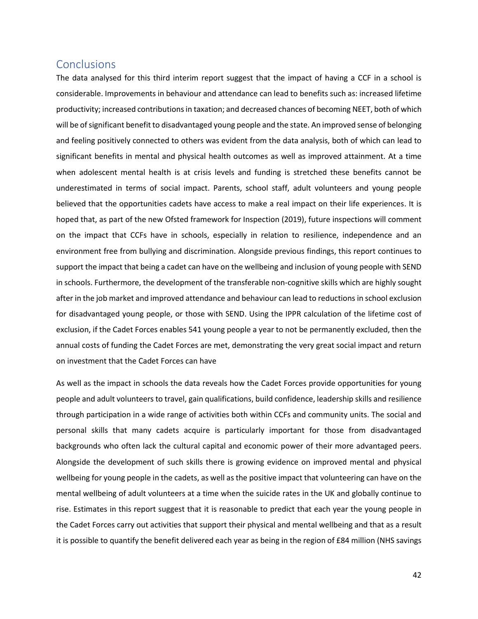# <span id="page-42-0"></span>**Conclusions**

The data analysed for this third interim report suggest that the impact of having a CCF in a school is considerable. Improvements in behaviour and attendance can lead to benefits such as: increased lifetime productivity; increased contributions in taxation; and decreased chances of becoming NEET, both of which will be of significant benefit to disadvantaged young people and the state. An improved sense of belonging and feeling positively connected to others was evident from the data analysis, both of which can lead to significant benefits in mental and physical health outcomes as well as improved attainment. At a time when adolescent mental health is at crisis levels and funding is stretched these benefits cannot be underestimated in terms of social impact. Parents, school staff, adult volunteers and young people believed that the opportunities cadets have access to make a real impact on their life experiences. It is hoped that, as part of the new Ofsted framework for Inspection (2019), future inspections will comment on the impact that CCFs have in schools, especially in relation to resilience, independence and an environment free from bullying and discrimination. Alongside previous findings, this report continues to support the impact that being a cadet can have on the wellbeing and inclusion of young people with SEND in schools. Furthermore, the development of the transferable non-cognitive skills which are highly sought after in the job market and improved attendance and behaviour can lead to reductions in school exclusion for disadvantaged young people, or those with SEND. Using the IPPR calculation of the lifetime cost of exclusion, if the Cadet Forces enables 541 young people a year to not be permanently excluded, then the annual costs of funding the Cadet Forces are met, demonstrating the very great social impact and return on investment that the Cadet Forces can have

As well as the impact in schools the data reveals how the Cadet Forces provide opportunities for young people and adult volunteers to travel, gain qualifications, build confidence, leadership skills and resilience through participation in a wide range of activities both within CCFs and community units. The social and personal skills that many cadets acquire is particularly important for those from disadvantaged backgrounds who often lack the cultural capital and economic power of their more advantaged peers. Alongside the development of such skills there is growing evidence on improved mental and physical wellbeing for young people in the cadets, as well as the positive impact that volunteering can have on the mental wellbeing of adult volunteers at a time when the suicide rates in the UK and globally continue to rise. Estimates in this report suggest that it is reasonable to predict that each year the young people in the Cadet Forces carry out activities that support their physical and mental wellbeing and that as a result it is possible to quantify the benefit delivered each year as being in the region of £84 million (NHS savings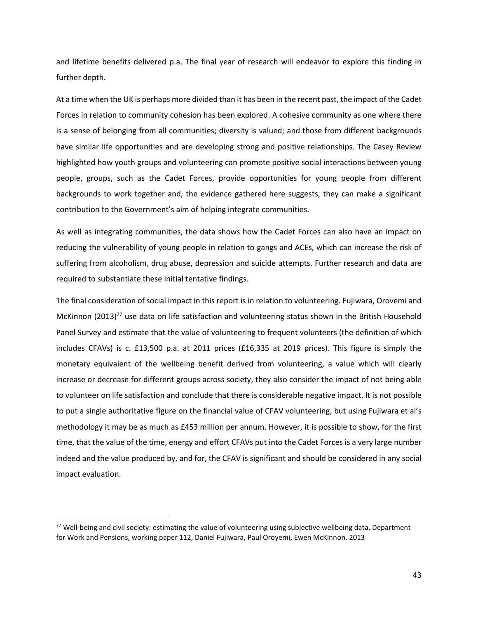and lifetime benefits delivered p.a. The final year of research will endeavor to explore this finding in further depth.

At a time when the UK is perhaps more divided than it has been in the recent past, the impact of the Cadet Forces in relation to community cohesion has been explored. A cohesive community as one where there is a sense of belonging from all communities; diversity is valued; and those from different backgrounds have similar life opportunities and are developing strong and positive relationships. The Casey Review highlighted how youth groups and volunteering can promote positive social interactions between young people, groups, such as the Cadet Forces, provide opportunities for young people from different backgrounds to work together and, the evidence gathered here suggests, they can make a significant contribution to the Government's aim of helping integrate communities.

As well as integrating communities, the data shows how the Cadet Forces can also have an impact on reducing the vulnerability of young people in relation to gangs and ACEs, which can increase the risk of suffering from alcoholism, drug abuse, depression and suicide attempts. Further research and data are required to substantiate these initial tentative findings.

The final consideration of social impact in this report is in relation to volunteering. Fujiwara, Orovemi and McKinnon  $(2013)^{77}$  use data on life satisfaction and volunteering status shown in the British Household Panel Survey and estimate that the value of volunteering to frequent volunteers (the definition of which includes CFAVs) is c. £13,500 p.a. at 2011 prices (£16,335 at 2019 prices). This figure is simply the monetary equivalent of the wellbeing benefit derived from volunteering, a value which will clearly increase or decrease for different groups across society, they also consider the impact of not being able to volunteer on life satisfaction and conclude that there is considerable negative impact. It is not possible to put a single authoritative figure on the financial value of CFAV volunteering, but using Fujiwara et al's methodology it may be as much as £453 million per annum. However, it is possible to show, for the first time, that the value of the time, energy and effort CFAVs put into the Cadet Forces is a very large number indeed and the value produced by, and for, the CFAV is significant and should be considered in any social impact evaluation.

<sup>77</sup> Well-being and civil society: estimating the value of volunteering using subjective wellbeing data, Department for Work and Pensions, working paper 112, Daniel Fujiwara, Paul Oroyemi, Ewen McKinnon. 2013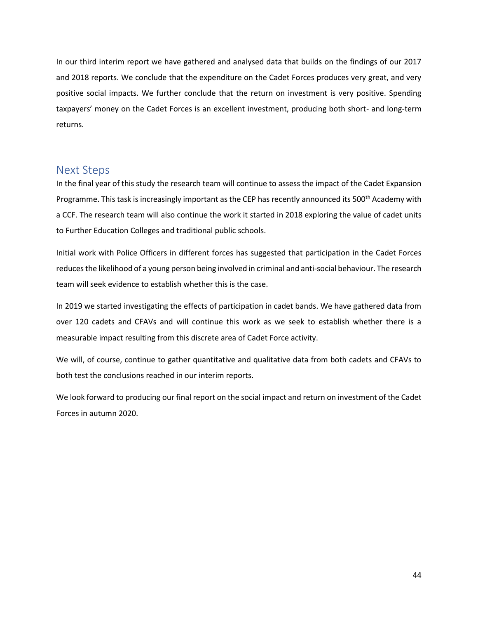In our third interim report we have gathered and analysed data that builds on the findings of our 2017 and 2018 reports. We conclude that the expenditure on the Cadet Forces produces very great, and very positive social impacts. We further conclude that the return on investment is very positive. Spending taxpayers' money on the Cadet Forces is an excellent investment, producing both short- and long-term returns.

# <span id="page-44-0"></span>Next Steps

In the final year of this study the research team will continue to assess the impact of the Cadet Expansion Programme. This task is increasingly important as the CEP has recently announced its 500<sup>th</sup> Academy with a CCF. The research team will also continue the work it started in 2018 exploring the value of cadet units to Further Education Colleges and traditional public schools.

Initial work with Police Officers in different forces has suggested that participation in the Cadet Forces reduces the likelihood of a young person being involved in criminal and anti-social behaviour. The research team will seek evidence to establish whether this is the case.

In 2019 we started investigating the effects of participation in cadet bands. We have gathered data from over 120 cadets and CFAVs and will continue this work as we seek to establish whether there is a measurable impact resulting from this discrete area of Cadet Force activity.

We will, of course, continue to gather quantitative and qualitative data from both cadets and CFAVs to both test the conclusions reached in our interim reports.

We look forward to producing our final report on the social impact and return on investment of the Cadet Forces in autumn 2020.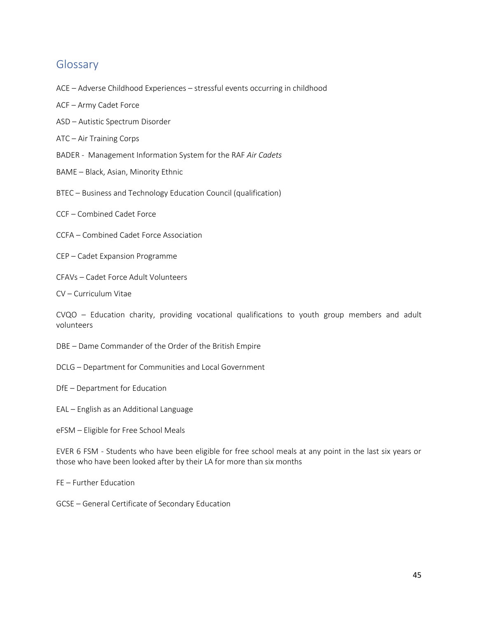# <span id="page-45-0"></span>Glossary

- ACE Adverse Childhood Experiences stressful events occurring in childhood
- ACF Army Cadet Force
- ASD Autistic Spectrum Disorder
- ATC Air Training Corps
- BADER Management Information System for the RAF *Air Cadets*
- BAME Black, Asian, Minority Ethnic
- BTEC Business and Technology Education Council (qualification)
- CCF Combined Cadet Force
- CCFA Combined Cadet Force Association
- CEP Cadet Expansion Programme
- CFAVs Cadet Force Adult Volunteers
- CV Curriculum Vitae

CVQO – Education charity, providing vocational qualifications to youth group members and adult volunteers

- DBE Dame Commander of the Order of the British Empire
- DCLG Department for Communities and Local Government
- DfE Department for Education
- EAL English as an Additional Language
- eFSM Eligible for Free School Meals

EVER 6 FSM - Students who have been eligible for free school meals at any point in the last six years or those who have been looked after by their LA for more than six months

FE – Further Education

GCSE – General Certificate of Secondary Education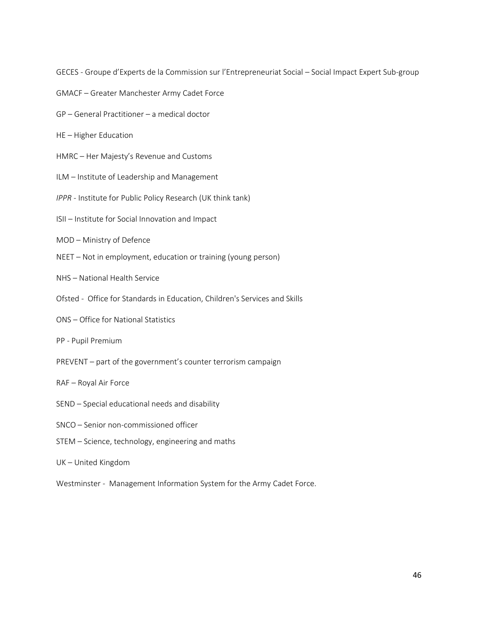GECES - Groupe d'Experts de la Commission sur l'Entrepreneuriat Social – Social Impact Expert Sub-group

- GMACF Greater Manchester Army Cadet Force
- GP General Practitioner a medical doctor
- HE Higher Education
- HMRC Her Majesty's Revenue and Customs
- ILM Institute of Leadership and Management
- *IPPR -* Institute for Public Policy Research (UK think tank)
- ISII Institute for Social Innovation and Impact
- MOD Ministry of Defence
- NEET Not in employment, education or training (young person)
- NHS National Health Service
- Ofsted Office for Standards in Education, Children's Services and Skills
- ONS Office for National Statistics
- PP Pupil Premium
- PREVENT part of the government's counter terrorism campaign
- RAF Royal Air Force
- SEND Special educational needs and disability
- SNCO Senior non-commissioned officer
- STEM Science, technology, engineering and maths
- UK United Kingdom
- Westminster Management Information System for the Army Cadet Force.